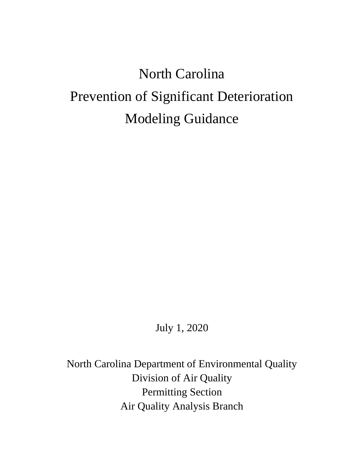# North Carolina Prevention of Significant Deterioration Modeling Guidance

July 1, 2020

North Carolina Department of Environmental Quality Division of Air Quality Permitting Section Air Quality Analysis Branch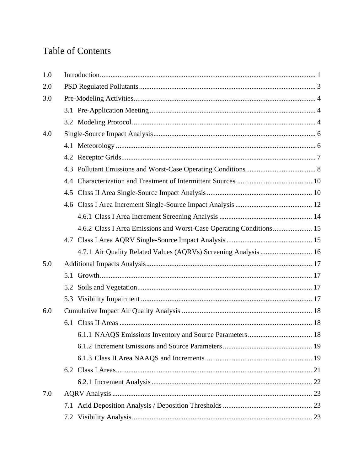# **Table of Contents**

| 1.0 |                                                                 |  |  |  |  |
|-----|-----------------------------------------------------------------|--|--|--|--|
| 2.0 |                                                                 |  |  |  |  |
| 3.0 |                                                                 |  |  |  |  |
|     |                                                                 |  |  |  |  |
|     |                                                                 |  |  |  |  |
| 4.0 |                                                                 |  |  |  |  |
|     |                                                                 |  |  |  |  |
|     |                                                                 |  |  |  |  |
|     |                                                                 |  |  |  |  |
|     |                                                                 |  |  |  |  |
|     |                                                                 |  |  |  |  |
|     |                                                                 |  |  |  |  |
|     |                                                                 |  |  |  |  |
|     |                                                                 |  |  |  |  |
|     |                                                                 |  |  |  |  |
|     | 4.7.1 Air Quality Related Values (AQRVs) Screening Analysis  16 |  |  |  |  |
| 5.0 |                                                                 |  |  |  |  |
|     |                                                                 |  |  |  |  |
|     |                                                                 |  |  |  |  |
|     |                                                                 |  |  |  |  |
| 6.0 |                                                                 |  |  |  |  |
|     |                                                                 |  |  |  |  |
|     |                                                                 |  |  |  |  |
|     |                                                                 |  |  |  |  |
|     |                                                                 |  |  |  |  |
|     |                                                                 |  |  |  |  |
|     |                                                                 |  |  |  |  |
| 7.0 |                                                                 |  |  |  |  |
|     |                                                                 |  |  |  |  |
|     |                                                                 |  |  |  |  |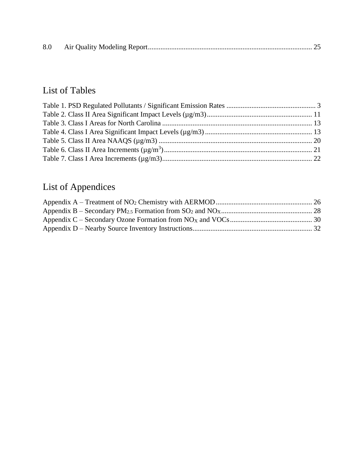| 8.0 |  |  |  |
|-----|--|--|--|
|-----|--|--|--|

# List of Tables

# List of Appendices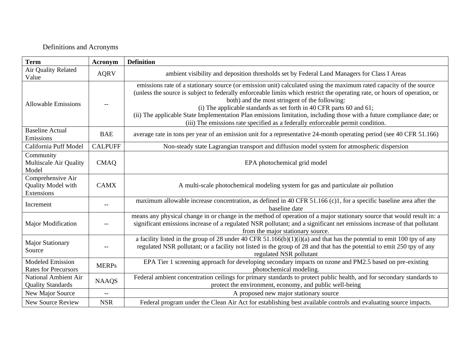#### Definitions and Acronyms

| <b>Term</b><br><b>Definition</b><br><b>Acronym</b>               |                          |                                                                                                                                                                                                                                                                                                                                                                                                                                                                                                                                                                                        |  |  |
|------------------------------------------------------------------|--------------------------|----------------------------------------------------------------------------------------------------------------------------------------------------------------------------------------------------------------------------------------------------------------------------------------------------------------------------------------------------------------------------------------------------------------------------------------------------------------------------------------------------------------------------------------------------------------------------------------|--|--|
| Air Quality Related<br>Value                                     | <b>AQRV</b>              | ambient visibility and deposition thresholds set by Federal Land Managers for Class I Areas                                                                                                                                                                                                                                                                                                                                                                                                                                                                                            |  |  |
| <b>Allowable Emissions</b>                                       |                          | emissions rate of a stationary source (or emission unit) calculated using the maximum rated capacity of the source<br>(unless the source is subject to federally enforceable limits which restrict the operating rate, or hours of operation, or<br>both) and the most stringent of the following:<br>(i) The applicable standards as set forth in 40 CFR parts 60 and 61;<br>(ii) The applicable State Implementation Plan emissions limitation, including those with a future compliance date; or<br>(iii) The emissions rate specified as a federally enforceable permit condition. |  |  |
| <b>Baseline Actual</b><br>Emissions                              | <b>BAE</b>               | average rate in tons per year of an emission unit for a representative 24-month operating period (see 40 CFR 51.166)                                                                                                                                                                                                                                                                                                                                                                                                                                                                   |  |  |
| California Puff Model                                            | <b>CALPUFF</b>           | Non-steady state Lagrangian transport and diffusion model system for atmospheric dispersion                                                                                                                                                                                                                                                                                                                                                                                                                                                                                            |  |  |
| Community<br>Multiscale Air Quality<br>Model                     | <b>CMAQ</b>              | EPA photochemical grid model                                                                                                                                                                                                                                                                                                                                                                                                                                                                                                                                                           |  |  |
| Comprehensive Air<br>Quality Model with<br>Extensions            | <b>CAMX</b>              | A multi-scale photochemical modeling system for gas and particulate air pollution                                                                                                                                                                                                                                                                                                                                                                                                                                                                                                      |  |  |
| Increment                                                        | $\overline{\phantom{a}}$ | maximum allowable increase concentration, as defined in 40 CFR 51.166 (c)1, for a specific baseline area after the<br>baseline date                                                                                                                                                                                                                                                                                                                                                                                                                                                    |  |  |
| Major Modification                                               |                          | means any physical change in or change in the method of operation of a major stationary source that would result in: a<br>significant emissions increase of a regulated NSR pollutant; and a significant net emissions increase of that pollutant<br>from the major stationary source.                                                                                                                                                                                                                                                                                                 |  |  |
| <b>Major Stationary</b><br>Source                                |                          | a facility listed in the group of 28 under 40 CFR 51.166(b)(1)(i)(a) and that has the potential to emit 100 tpy of any<br>regulated NSR pollutant; or a facility not listed in the group of 28 and that has the potential to emit 250 tpy of any<br>regulated NSR pollutant                                                                                                                                                                                                                                                                                                            |  |  |
| <b>Modeled Emission</b><br><b>Rates for Precursors</b>           | <b>MERPs</b>             | EPA Tier 1 screening approach for developing secondary impacts on ozone and PM2.5 based on pre-existing<br>photochemical modeling.                                                                                                                                                                                                                                                                                                                                                                                                                                                     |  |  |
| National Ambient Air<br><b>NAAQS</b><br><b>Quality Standards</b> |                          | Federal ambient concentration ceilings for primary standards to protect public health, and for secondary standards to<br>protect the environment, economy, and public well-being                                                                                                                                                                                                                                                                                                                                                                                                       |  |  |
| New Major Source                                                 | $- -$                    | A proposed new major stationary source                                                                                                                                                                                                                                                                                                                                                                                                                                                                                                                                                 |  |  |
| <b>New Source Review</b>                                         | <b>NSR</b>               | Federal program under the Clean Air Act for establishing best available controls and evaluating source impacts.                                                                                                                                                                                                                                                                                                                                                                                                                                                                        |  |  |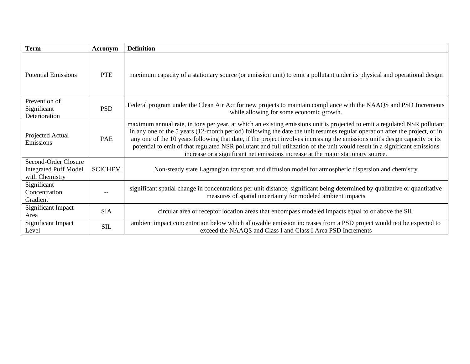| <b>Term</b>                                                            | Acronym        | <b>Definition</b>                                                                                                                                                                                                                                                                                                                                                                                                                                                                                                                                                                                        |
|------------------------------------------------------------------------|----------------|----------------------------------------------------------------------------------------------------------------------------------------------------------------------------------------------------------------------------------------------------------------------------------------------------------------------------------------------------------------------------------------------------------------------------------------------------------------------------------------------------------------------------------------------------------------------------------------------------------|
| <b>Potential Emissions</b>                                             | <b>PTE</b>     | maximum capacity of a stationary source (or emission unit) to emit a pollutant under its physical and operational design                                                                                                                                                                                                                                                                                                                                                                                                                                                                                 |
| Prevention of<br>Significant<br>Deterioration                          | <b>PSD</b>     | Federal program under the Clean Air Act for new projects to maintain compliance with the NAAQS and PSD Increments<br>while allowing for some economic growth.                                                                                                                                                                                                                                                                                                                                                                                                                                            |
| Projected Actual<br>Emissions                                          | PAE            | maximum annual rate, in tons per year, at which an existing emissions unit is projected to emit a regulated NSR pollutant<br>in any one of the 5 years (12-month period) following the date the unit resumes regular operation after the project, or in<br>any one of the 10 years following that date, if the project involves increasing the emissions unit's design capacity or its<br>potential to emit of that regulated NSR pollutant and full utilization of the unit would result in a significant emissions<br>increase or a significant net emissions increase at the major stationary source. |
| Second-Order Closure<br><b>Integrated Puff Model</b><br>with Chemistry | <b>SCICHEM</b> | Non-steady state Lagrangian transport and diffusion model for atmospheric dispersion and chemistry                                                                                                                                                                                                                                                                                                                                                                                                                                                                                                       |
| Significant<br>Concentration<br>Gradient                               |                | significant spatial change in concentrations per unit distance; significant being determined by qualitative or quantitative<br>measures of spatial uncertainty for modeled ambient impacts                                                                                                                                                                                                                                                                                                                                                                                                               |
| <b>Significant Impact</b><br>Area                                      | <b>SIA</b>     | circular area or receptor location areas that encompass modeled impacts equal to or above the SIL                                                                                                                                                                                                                                                                                                                                                                                                                                                                                                        |
| Significant Impact<br>Level                                            | SIL            | ambient impact concentration below which allowable emission increases from a PSD project would not be expected to<br>exceed the NAAQS and Class I and Class I Area PSD Increments                                                                                                                                                                                                                                                                                                                                                                                                                        |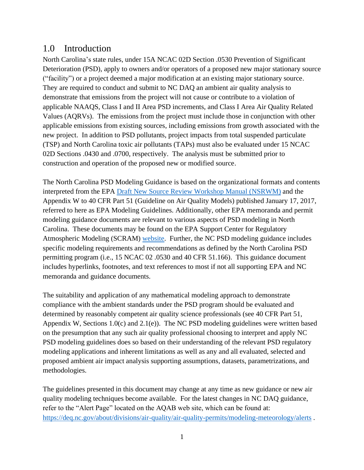#### <span id="page-5-0"></span>1.0 Introduction

North Carolina's state rules, under 15A NCAC 02D Section .0530 Prevention of Significant Deterioration (PSD), apply to owners and/or operators of a proposed new major stationary source ("facility") or a project deemed a major modification at an existing major stationary source. They are required to conduct and submit to NC DAQ an ambient air quality analysis to demonstrate that emissions from the project will not cause or contribute to a violation of applicable NAAQS, Class I and II Area PSD increments, and Class I Area Air Quality Related Values (AQRVs). The emissions from the project must include those in conjunction with other applicable emissions from existing sources, including emissions from growth associated with the new project. In addition to PSD pollutants, project impacts from total suspended particulate (TSP) and North Carolina toxic air pollutants (TAPs) must also be evaluated under 15 NCAC 02D Sections .0430 and .0700, respectively. The analysis must be submitted prior to construction and operation of the proposed new or modified source.

The North Carolina PSD Modeling Guidance is based on the organizational formats and contents interpreted from the EPA [Draft New Source Review Workshop Manual \(NSRWM\)](https://www.epa.gov/nsr/nsr-workshop-manual-draft-october-1990) and the Appendix W to 40 CFR Part 51 (Guideline on Air Quality Models) published January 17, 2017, referred to here as EPA Modeling Guidelines. Additionally, other EPA memoranda and permit modeling guidance documents are relevant to various aspects of PSD modeling in North Carolina. These documents may be found on the EPA Support Center for Regulatory Atmospheric Modeling (SCRAM) [website.](https://www.epa.gov/scram) Further, the NC PSD modeling guidance includes specific modeling requirements and recommendations as defined by the North Carolina PSD permitting program (i.e., 15 NCAC 02 .0530 and 40 CFR 51.166). This guidance document includes hyperlinks, footnotes, and text references to most if not all supporting EPA and NC memoranda and guidance documents.

The suitability and application of any mathematical modeling approach to demonstrate compliance with the ambient standards under the PSD program should be evaluated and determined by reasonably competent air quality science professionals (see 40 CFR Part 51, Appendix W, Sections 1.0(c) and 2.1(e)). The NC PSD modeling guidelines were written based on the presumption that any such air quality professional choosing to interpret and apply NC PSD modeling guidelines does so based on their understanding of the relevant PSD regulatory modeling applications and inherent limitations as well as any and all evaluated, selected and proposed ambient air impact analysis supporting assumptions, datasets, parametrizations, and methodologies.

The guidelines presented in this document may change at any time as new guidance or new air quality modeling techniques become available. For the latest changes in NC DAQ guidance, refer to the "Alert Page" located on the AQAB web site, which can be found at: <https://deq.nc.gov/about/divisions/air-quality/air-quality-permits/modeling-meteorology/alerts> .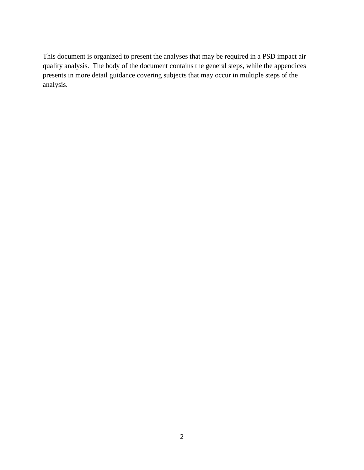This document is organized to present the analyses that may be required in a PSD impact air quality analysis. The body of the document contains the general steps, while the appendices presents in more detail guidance covering subjects that may occur in multiple steps of the analysis.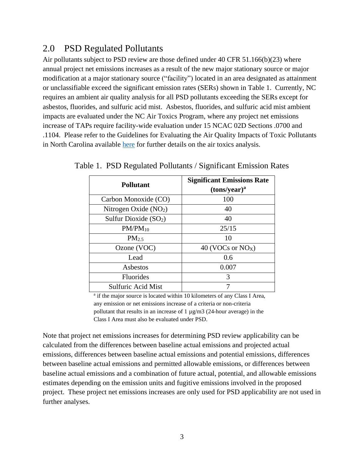#### <span id="page-7-0"></span>2.0 PSD Regulated Pollutants

Air pollutants subject to PSD review are those defined under 40 CFR 51.166(b)(23) where annual project net emissions increases as a result of the new major stationary source or major modification at a major stationary source ("facility") located in an area designated as attainment or unclassifiable exceed the significant emission rates (SERs) shown in Table 1. Currently, NC requires an ambient air quality analysis for all PSD pollutants exceeding the SERs except for asbestos, fluorides, and sulfuric acid mist. Asbestos, fluorides, and sulfuric acid mist ambient impacts are evaluated under the NC Air Toxics Program, where any project net emissions increase of TAPs require facility-wide evaluation under 15 NCAC 02D Sections .0700 and .1104. Please refer to the Guidelines for Evaluating the Air Quality Impacts of Toxic Pollutants in North Carolina available [here](https://deq.nc.gov/about/divisions/air-quality/air-quality-permits/modeling-meteorology/modeling) for further details on the air toxics analysis.

| <b>Pollutant</b>       | <b>Significant Emissions Rate</b><br>(tons/year) <sup>a</sup> |
|------------------------|---------------------------------------------------------------|
| Carbon Monoxide (CO)   | 100                                                           |
| Nitrogen Oxide $(NO2)$ | 40                                                            |
| Sulfur Dioxide $(SO2)$ | 40                                                            |
| $PM/PM_{10}$           | 25/15                                                         |
| PM <sub>2.5</sub>      | 10                                                            |
| Ozone (VOC)            | 40 (VOCs or $NOX$ )                                           |
| Lead                   | 0.6                                                           |
| Asbestos               | 0.007                                                         |
| <b>Fluorides</b>       | 3                                                             |
| Sulfuric Acid Mist     |                                                               |

<span id="page-7-1"></span>Table 1. PSD Regulated Pollutants / Significant Emission Rates

<sup>a</sup> if the major source is located within 10 kilometers of any Class I Area, any emission or net emissions increase of a criteria or non-criteria pollutant that results in an increase of  $1 \mu g/m3$  (24-hour average) in the Class I Area must also be evaluated under PSD.

Note that project net emissions increases for determining PSD review applicability can be calculated from the differences between baseline actual emissions and projected actual emissions, differences between baseline actual emissions and potential emissions, differences between baseline actual emissions and permitted allowable emissions, or differences between baseline actual emissions and a combination of future actual, potential, and allowable emissions estimates depending on the emission units and fugitive emissions involved in the proposed project. These project net emissions increases are only used for PSD applicability are not used in further analyses.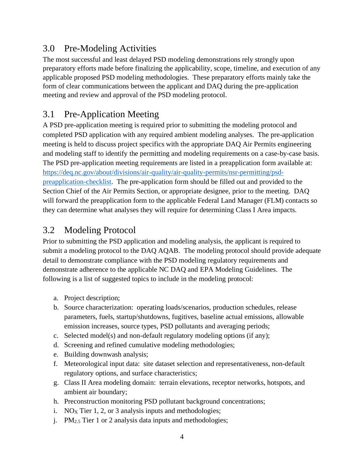#### <span id="page-8-0"></span>3.0 Pre-Modeling Activities

The most successful and least delayed PSD modeling demonstrations rely strongly upon preparatory efforts made before finalizing the applicability, scope, timeline, and execution of any applicable proposed PSD modeling methodologies. These preparatory efforts mainly take the form of clear communications between the applicant and DAQ during the pre-application meeting and review and approval of the PSD modeling protocol.

## <span id="page-8-1"></span>3.1 Pre-Application Meeting

A PSD pre-application meeting is required prior to submitting the modeling protocol and completed PSD application with any required ambient modeling analyses. The pre-application meeting is held to discuss project specifics with the appropriate DAQ Air Permits engineering and modeling staff to identify the permitting and modeling requirements on a case-by-case basis. The PSD pre-application meeting requirements are listed in a preapplication form available at: [https://deq.nc.gov/about/divisions/air-quality/air-quality-permits/nsr-permitting/psd](https://deq.nc.gov/about/divisions/air-quality/air-quality-permits/nsr-permitting/psd-preapplication-checklist)[preapplication-checklist.](https://deq.nc.gov/about/divisions/air-quality/air-quality-permits/nsr-permitting/psd-preapplication-checklist) The pre-application form should be filled out and provided to the Section Chief of the Air Permits Section, or appropriate designee, prior to the meeting. DAQ will forward the preapplication form to the applicable Federal Land Manager (FLM) contacts so they can determine what analyses they will require for determining Class I Area impacts.

### <span id="page-8-2"></span>3.2 Modeling Protocol

Prior to submitting the PSD application and modeling analysis, the applicant is required to submit a modeling protocol to the DAQ AQAB. The modeling protocol should provide adequate detail to demonstrate compliance with the PSD modeling regulatory requirements and demonstrate adherence to the applicable NC DAQ and EPA Modeling Guidelines. The following is a list of suggested topics to include in the modeling protocol:

- a. Project description;
- b. Source characterization: operating loads/scenarios, production schedules, release parameters, fuels, startup/shutdowns, fugitives, baseline actual emissions, allowable emission increases, source types, PSD pollutants and averaging periods;
- c. Selected model(s) and non-default regulatory modeling options (if any);
- d. Screening and refined cumulative modeling methodologies;
- e. Building downwash analysis;
- f. Meteorological input data: site dataset selection and representativeness, non-default regulatory options, and surface characteristics;
- g. Class II Area modeling domain: terrain elevations, receptor networks, hotspots, and ambient air boundary;
- h. Preconstruction monitoring PSD pollutant background concentrations;
- i. NO<sub>X</sub> Tier 1, 2, or 3 analysis inputs and methodologies;
- j. PM2.5 Tier 1 or 2 analysis data inputs and methodologies;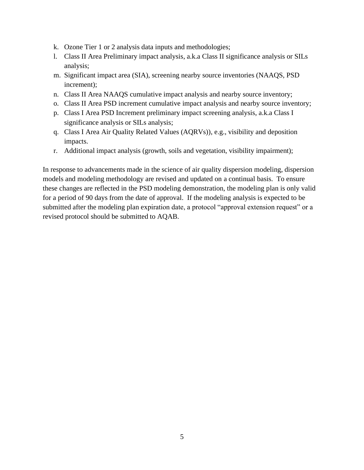- k. Ozone Tier 1 or 2 analysis data inputs and methodologies;
- l. Class II Area Preliminary impact analysis, a.k.a Class II significance analysis or SILs analysis;
- m. Significant impact area (SIA), screening nearby source inventories (NAAQS, PSD increment);
- n. Class II Area NAAQS cumulative impact analysis and nearby source inventory;
- o. Class II Area PSD increment cumulative impact analysis and nearby source inventory;
- p. Class I Area PSD Increment preliminary impact screening analysis, a.k.a Class I significance analysis or SILs analysis;
- q. Class I Area Air Quality Related Values (AQRVs)), e.g., visibility and deposition impacts.
- r. Additional impact analysis (growth, soils and vegetation, visibility impairment);

In response to advancements made in the science of air quality dispersion modeling, dispersion models and modeling methodology are revised and updated on a continual basis. To ensure these changes are reflected in the PSD modeling demonstration, the modeling plan is only valid for a period of 90 days from the date of approval. If the modeling analysis is expected to be submitted after the modeling plan expiration date, a protocol "approval extension request" or a revised protocol should be submitted to AQAB.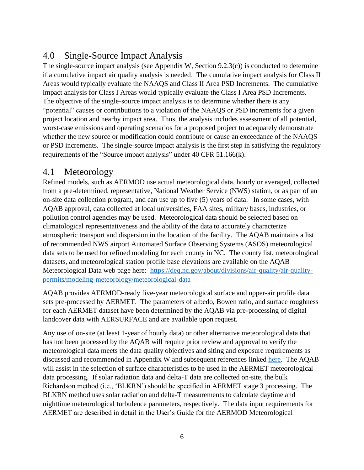## <span id="page-10-0"></span>4.0 Single-Source Impact Analysis

The single-source impact analysis (see Appendix W, Section 9.2.3(c)) is conducted to determine if a cumulative impact air quality analysis is needed. The cumulative impact analysis for Class II Areas would typically evaluate the NAAQS and Class II Area PSD Increments. The cumulative impact analysis for Class I Areas would typically evaluate the Class I Area PSD Increments. The objective of the single-source impact analysis is to determine whether there is any "potential" causes or contributions to a violation of the NAAQS or PSD increments for a given project location and nearby impact area. Thus, the analysis includes assessment of all potential, worst-case emissions and operating scenarios for a proposed project to adequately demonstrate whether the new source or modification could contribute or cause an exceedance of the NAAQS or PSD increments. The single-source impact analysis is the first step in satisfying the regulatory requirements of the "Source impact analysis" under 40 CFR 51.166(k).

#### <span id="page-10-1"></span>4.1 Meteorology

Refined models, such as AERMOD use actual meteorological data, hourly or averaged, collected from a pre-determined, representative, National Weather Service (NWS) station, or as part of an on-site data collection program, and can use up to five (5) years of data. In some cases, with AQAB approval, data collected at local universities, FAA sites, military bases, industries, or pollution control agencies may be used. Meteorological data should be selected based on climatological representativeness and the ability of the data to accurately characterize atmospheric transport and dispersion in the location of the facility. The AQAB maintains a list of recommended NWS airport Automated Surface Observing Systems (ASOS) meteorological data sets to be used for refined modeling for each county in NC. The county list, meteorological datasets, and meteorological station profile base elevations are available on the AQAB Meteorological Data web page here: [https://deq.nc.gov/about/divisions/air-quality/air-quality](https://deq.nc.gov/about/divisions/air-quality/air-quality-permits/modeling-meteorology/meteorological-data)[permits/modeling-meteorology/meteorological-data](https://deq.nc.gov/about/divisions/air-quality/air-quality-permits/modeling-meteorology/meteorological-data)

AQAB provides AERMOD-ready five-year meteorological surface and upper-air profile data sets pre-processed by AERMET. The parameters of albedo, Bowen ratio, and surface roughness for each AERMET dataset have been determined by the AQAB via pre-processing of digital landcover data with AERSURFACE and are available upon request.

Any use of on-site (at least 1-year of hourly data) or other alternative meteorological data that has not been processed by the AQAB will require prior review and approval to verify the meteorological data meets the data quality objectives and siting and exposure requirements as discussed and recommended in Appendix W and subsequent references linked [here.](https://www.epa.gov/scram/air-modeling-meteorological-guidance) The AQAB will assist in the selection of surface characteristics to be used in the AERMET meteorological data processing. If solar radiation data and delta-T data are collected on-site, the bulk Richardson method (i.e., 'BLKRN') should be specified in AERMET stage 3 processing. The BLKRN method uses solar radiation and delta-T measurements to calculate daytime and nighttime meteorological turbulence parameters, respectively. The data input requirements for AERMET are described in detail in the User's Guide for the AERMOD Meteorological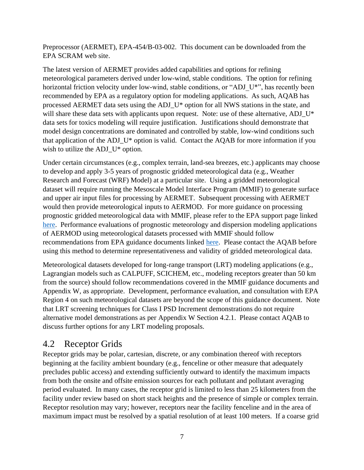Preprocessor (AERMET), EPA-454/B-03-002. This document can be downloaded from the EPA SCRAM web site.

The latest version of AERMET provides added capabilities and options for refining meteorological parameters derived under low-wind, stable conditions. The option for refining horizontal friction velocity under low-wind, stable conditions, or "ADJ U\*", has recently been recommended by EPA as a regulatory option for modeling applications. As such, AQAB has processed AERMET data sets using the ADJ\_U\* option for all NWS stations in the state, and will share these data sets with applicants upon request. Note: use of these alternative, ADJ\_U\* data sets for toxics modeling will require justification. Justifications should demonstrate that model design concentrations are dominated and controlled by stable, low-wind conditions such that application of the ADJ\_U\* option is valid. Contact the AQAB for more information if you wish to utilize the ADJ\_U\* option.

Under certain circumstances (e.g., complex terrain, land-sea breezes, etc.) applicants may choose to develop and apply 3-5 years of prognostic gridded meteorological data (e.g., Weather Research and Forecast (WRF) Model) at a particular site. Using a gridded meteorological dataset will require running the Mesoscale Model Interface Program (MMIF) to generate surface and upper air input files for processing by AERMET. Subsequent processing with AERMET would then provide meteorological inputs to AERMOD. For more guidance on processing prognostic gridded meteorological data with MMIF, please refer to the EPA support page linked [here.](https://www3.epa.gov/ttn/scram/appendix_w-2016.htm) Performance evaluations of prognostic meteorology and dispersion modeling applications of AERMOD using meteorological datasets processed with MMIF should follow recommendations from EPA guidance documents linked [here.](https://www3.epa.gov/ttn/scram/appendix_w-2016.htm) Please contact the AQAB before using this method to determine representativeness and validity of gridded meteorological data.

Meteorological datasets developed for long-range transport (LRT) modeling applications (e.g., Lagrangian models such as CALPUFF, SCICHEM, etc., modeling receptors greater than 50 km from the source) should follow recommendations covered in the MMIF guidance documents and Appendix W, as appropriate. Development, performance evaluation, and consultation with EPA Region 4 on such meteorological datasets are beyond the scope of this guidance document. Note that LRT screening techniques for Class I PSD Increment demonstrations do not require alternative model demonstrations as per Appendix W Section 4.2.1. Please contact AQAB to discuss further options for any LRT modeling proposals.

#### <span id="page-11-0"></span>4.2 Receptor Grids

Receptor grids may be polar, cartesian, discrete, or any combination thereof with receptors beginning at the facility ambient boundary (e.g., fenceline or other measure that adequately precludes public access) and extending sufficiently outward to identify the maximum impacts from both the onsite and offsite emission sources for each pollutant and pollutant averaging period evaluated. In many cases, the receptor grid is limited to less than 25 kilometers from the facility under review based on short stack heights and the presence of simple or complex terrain. Receptor resolution may vary; however, receptors near the facility fenceline and in the area of maximum impact must be resolved by a spatial resolution of at least 100 meters. If a coarse grid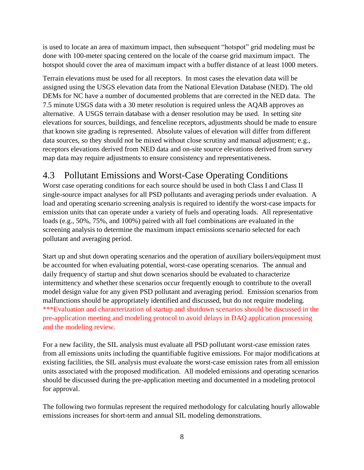is used to locate an area of maximum impact, then subsequent "hotspot" grid modeling must be done with 100-meter spacing centered on the locale of the coarse grid maximum impact. The hotspot should cover the area of maximum impact with a buffer distance of at least 1000 meters.

Terrain elevations must be used for all receptors. In most cases the elevation data will be assigned using the USGS elevation data from the National Elevation Database (NED). The old DEMs for NC have a number of documented problems that are corrected in the NED data. The 7.5 minute USGS data with a 30 meter resolution is required unless the AQAB approves an alternative. A USGS terrain database with a denser resolution may be used. In setting site elevations for sources, buildings, and fenceline receptors, adjustments should be made to ensure that known site grading is represented. Absolute values of elevation will differ from different data sources, so they should not be mixed without close scrutiny and manual adjustment; e.g., receptors elevations derived from NED data and on-site source elevations derived from survey map data may require adjustments to ensure consistency and representativeness.

## <span id="page-12-0"></span>4.3 Pollutant Emissions and Worst-Case Operating Conditions

Worst case operating conditions for each source should be used in both Class I and Class II single-source impact analyses for all PSD pollutants and averaging periods under evaluation. A load and operating scenario screening analysis is required to identify the worst-case impacts for emission units that can operate under a variety of fuels and operating loads. All representative loads (e.g., 50%, 75%, and 100%) paired with all fuel combinations are evaluated in the screening analysis to determine the maximum impact emissions scenario selected for each pollutant and averaging period.

Start up and shut down operating scenarios and the operation of auxiliary boilers/equipment must be accounted for when evaluating potential, worst-case operating scenarios. The annual and daily frequency of startup and shut down scenarios should be evaluated to characterize intermittency and whether these scenarios occur frequently enough to contribute to the overall model design value for any given PSD pollutant and averaging period. Emission scenarios from malfunctions should be appropriately identified and discussed, but do not require modeling. \*\*\*Evaluation and characterization of startup and shutdown scenarios should be discussed in the pre-application meeting and modeling protocol to avoid delays in DAQ application processing and the modeling review.

For a new facility, the SIL analysis must evaluate all PSD pollutant worst-case emission rates from all emissions units including the quantifiable fugitive emissions. For major modifications at existing facilities, the SIL analysis must evaluate the worst-case emission rates from all emission units associated with the proposed modification. All modeled emissions and operating scenarios should be discussed during the pre-application meeting and documented in a modeling protocol for approval.

The following two formulas represent the required methodology for calculating hourly allowable emissions increases for short-term and annual SIL modeling demonstrations.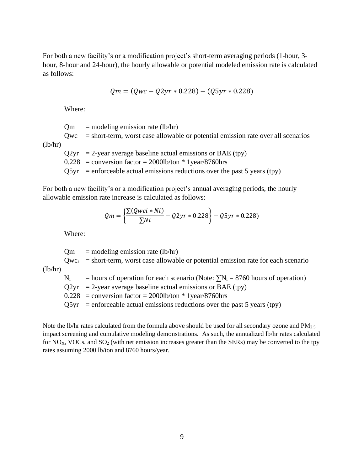For both a new facility's or a modification project's short-term averaging periods (1-hour, 3 hour, 8-hour and 24-hour), the hourly allowable or potential modeled emission rate is calculated as follows:

$$
Qm = (Qwc - Q2yr * 0.228) - (Q5yr * 0.228)
$$

Where:

 $Qm$  = modeling emission rate (lb/hr)

 $Qwc = short-term$ , worst case allowable or potential emission rate over all scenarios  $(lb/hr)$ 

 $Q2yr = 2$ -year average baseline actual emissions or BAE (tpy)

 $0.228$  = conversion factor = 2000lb/ton \* 1year/8760hrs

 $Q5yr$  = enforceable actual emissions reductions over the past 5 years (tpy)

For both a new facility's or a modification project's annual averaging periods, the hourly allowable emission rate increase is calculated as follows:

$$
Qm = \left\{ \frac{\sum (Qwci * Ni)}{\sum Ni} - Q2yr * 0.228 \right\} - Q5yr * 0.228
$$

Where:

 $Qm$  = modeling emission rate (lb/hr)

 $Qwc<sub>i</sub>$  = short-term, worst case allowable or potential emission rate for each scenario  $(lb/hr)$ 

 $N_i$  = hours of operation for each scenario (Note:  $\sum N_i = 8760$  hours of operation)

 $Q2yr = 2$ -year average baseline actual emissions or BAE (tpy)

 $0.228$  = conversion factor = 2000lb/ton \* 1year/8760hrs

 $Q5yr$  = enforceable actual emissions reductions over the past 5 years (tpy)

Note the lb/hr rates calculated from the formula above should be used for all secondary ozone and PM<sub>2.5</sub> impact screening and cumulative modeling demonstrations. As such, the annualized lb/hr rates calculated for  $NO<sub>X</sub>$ , VOCs, and  $SO<sub>2</sub>$  (with net emission increases greater than the SERs) may be converted to the tpy rates assuming 2000 lb/ton and 8760 hours/year.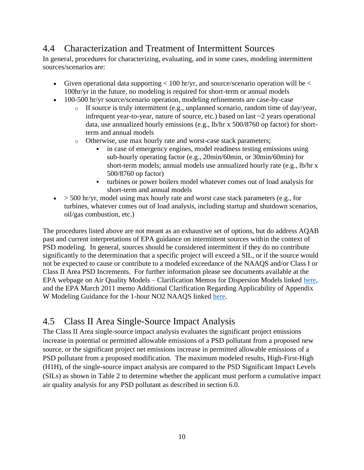#### <span id="page-14-0"></span>4.4 Characterization and Treatment of Intermittent Sources

In general, procedures for characterizing, evaluating, and in some cases, modeling intermittent sources/scenarios are:

- Given operational data supporting  $< 100$  hr/yr, and source/scenario operation will be  $<$ 100hr/yr in the future, no modeling is required for short-term or annual models
- 100-500 hr/yr source/scenario operation, modeling refinements are case-by-case
	- o If source is truly intermittent (e.g., unplanned scenario, random time of day/year, infrequent year-to-year, nature of source, etc.) based on last ~2 years operational data, use annualized hourly emissions (e.g., lb/hr x 500/8760 op factor) for shortterm and annual models
	- o Otherwise, use max hourly rate and worst-case stack parameters;
		- in case of emergency engines, model readiness testing emissions using sub-hourly operating factor (e.g., 20min/60min, or 30min/60min) for short-term models; annual models use annualized hourly rate (e.g., lb/hr x 500/8760 op factor)
		- turbines or power boilers model whatever comes out of load analysis for short-term and annual models
- $\bullet$  > 500 hr/yr, model using max hourly rate and worst case stack parameters (e.g., for turbines, whatever comes out of load analysis, including startup and shutdown scenarios, oil/gas combustion, etc.)

The procedures listed above are not meant as an exhaustive set of options, but do address AQAB past and current interpretations of EPA guidance on intermittent sources within the context of PSD modeling. In general, sources should be considered intermittent if they do no contribute significantly to the determination that a specific project will exceed a SIL, or if the source would not be expected to cause or contribute to a modeled exceedance of the NAAQS and/or Class I or Class II Area PSD Increments. For further information please see documents available at the EPA webpage on Air Quality Models – Clarification Memos for Dispersion Models linked [here,](https://www.epa.gov/scram/air-quality-models-clarification-memos-dispersion-models) and the EPA March 2011 memo Additional Clarification Regarding Applicability of Appendix W Modeling Guidance for the 1-hour NO2 NAAQS linked [here.](https://www3.epa.gov/ttn/scram/guidance/clarification/Additional_Clarifications_AppendixW_Hourly-NO2-NAAQS_FINAL_03-01-2011.pdf)

#### <span id="page-14-1"></span>4.5 Class II Area Single-Source Impact Analysis

The Class II Area single-source impact analysis evaluates the significant project emissions increase in potential or permitted allowable emissions of a PSD pollutant from a proposed new source, or the significant project net emissions increase in permitted allowable emissions of a PSD pollutant from a proposed modification. The maximum modeled results, High-First-High (H1H), of the single-source impact analysis are compared to the PSD Significant Impact Levels (SILs) as shown in Table 2 to determine whether the applicant must perform a cumulative impact air quality analysis for any PSD pollutant as described in section 6.0.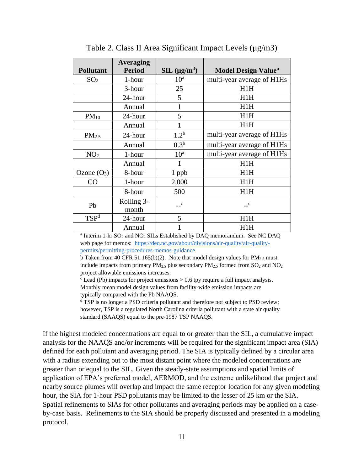<span id="page-15-0"></span>

| <b>Pollutant</b>  | <b>Averaging</b><br><b>Period</b> | $SL(\mu g/m^3)$  | <b>Model Design Value</b> <sup>a</sup> |
|-------------------|-----------------------------------|------------------|----------------------------------------|
| SO <sub>2</sub>   | 1-hour                            | 10 <sup>a</sup>  | multi-year average of H1Hs             |
|                   | 3-hour                            | 25               | H1H                                    |
|                   | 24-hour                           | 5                | H1H                                    |
|                   | Annual                            | 1                | H1H                                    |
| $PM_{10}$         | 24-hour                           | 5                | H1H                                    |
|                   | Annual                            | 1                | H1H                                    |
| PM <sub>2.5</sub> | 24-hour                           | 1.2 <sup>b</sup> | multi-year average of H1Hs             |
|                   | Annual                            | 0.3 <sup>b</sup> | multi-year average of H1Hs             |
| NO <sub>2</sub>   | 1-hour                            | 10 <sup>a</sup>  | multi-year average of H1Hs             |
|                   | Annual                            | 1                | H1H                                    |
| Ozone $(O_3)$     | 8-hour                            | 1 ppb            | H1H                                    |
| CO                | 1-hour                            | 2,000            | H1H                                    |
|                   | 8-hour                            | 500              | H1H                                    |
| Pb                | Rolling 3-<br>month               | $\mathbf{c}$     | $\mathbf{C}$                           |
| TSP <sup>d</sup>  | 24-hour                           | 5                | H1H                                    |
|                   | Annual                            |                  | H1H                                    |

Table 2. Class II Area Significant Impact Levels ( $\mu$ g/m3)

 $^{\text{a}}$  Interim 1-hr SO<sub>2</sub> and NO<sub>2</sub> SILs Established by DAQ memorandum. See NC DAQ web page for memos: [https://deq.nc.gov/about/divisions/air-quality/air-quality](https://deq.nc.gov/about/divisions/air-quality/air-quality-permits/permitting-procedures-memos-guidance)[permits/permitting-procedures-memos-guidance](https://deq.nc.gov/about/divisions/air-quality/air-quality-permits/permitting-procedures-memos-guidance)

b Taken from 40 CFR 51.165(b)(2). Note that model design values for  $PM_{2.5}$  must include impacts from primary  $PM_{2.5}$  plus secondary  $PM_{2.5}$  formed from  $SO_2$  and  $NO_2$ project allowable emissions increases.

 $\epsilon$  Lead (Pb) impacts for project emissions  $> 0.6$  tpy require a full impact analysis. Monthly mean model design values from facility-wide emission impacts are typically compared with the Pb NAAQS.

<sup>d</sup> TSP is no longer a PSD criteria pollutant and therefore not subject to PSD review; however, TSP is a regulated North Carolina criteria pollutant with a state air quality standard (SAAQS) equal to the pre-1987 TSP NAAQS.

If the highest modeled concentrations are equal to or greater than the SIL, a cumulative impact analysis for the NAAQS and/or increments will be required for the significant impact area (SIA) defined for each pollutant and averaging period. The SIA is typically defined by a circular area with a radius extending out to the most distant point where the modeled concentrations are greater than or equal to the SIL. Given the steady-state assumptions and spatial limits of application of EPA's preferred model, AERMOD, and the extreme unlikelihood that project and nearby source plumes will overlap and impact the same receptor location for any given modeling hour, the SIA for 1-hour PSD pollutants may be limited to the lesser of 25 km or the SIA. Spatial refinements to SIAs for other pollutants and averaging periods may be applied on a caseby-case basis. Refinements to the SIA should be properly discussed and presented in a modeling protocol.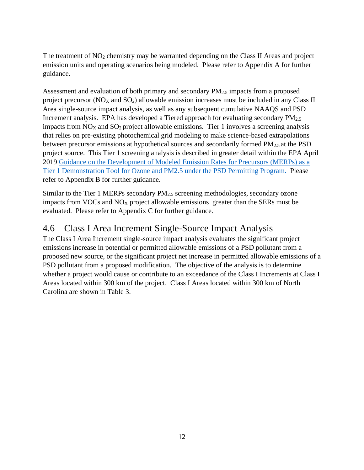The treatment of NO<sub>2</sub> chemistry may be warranted depending on the Class II Areas and project emission units and operating scenarios being modeled. Please refer to Appendix A for further guidance.

Assessment and evaluation of both primary and secondary PM2.5 impacts from a proposed project precursor ( $NO<sub>X</sub>$  and  $SO<sub>2</sub>$ ) allowable emission increases must be included in any Class II Area single-source impact analysis, as well as any subsequent cumulative NAAQS and PSD Increment analysis. EPA has developed a Tiered approach for evaluating secondary  $PM_{2.5}$ impacts from  $NO<sub>X</sub>$  and  $SO<sub>2</sub>$  project allowable emissions. Tier 1 involves a screening analysis that relies on pre-existing photochemical grid modeling to make science-based extrapolations between precursor emissions at hypothetical sources and secondarily formed PM2.5 at the PSD project source. This Tier 1 screening analysis is described in greater detail within the EPA April 2019 [Guidance on the Development of Modeled Emission Rates for Precursors \(MERPs\) as a](https://www3.epa.gov/ttn/scram/guidance/guide/EPA-454_R-19-003.pdf)  [Tier 1 Demonstration Tool for Ozone and PM2.5 under the PSD Permitting Program.](https://www3.epa.gov/ttn/scram/guidance/guide/EPA-454_R-19-003.pdf) Please refer to Appendix B for further guidance.

Similar to the Tier 1 MERPs secondary PM2.5 screening methodologies, secondary ozone impacts from VOCs and NO<sup>X</sup> project allowable emissions greater than the SERs must be evaluated. Please refer to Appendix C for further guidance.

#### <span id="page-16-0"></span>4.6 Class I Area Increment Single-Source Impact Analysis

The Class I Area Increment single-source impact analysis evaluates the significant project emissions increase in potential or permitted allowable emissions of a PSD pollutant from a proposed new source, or the significant project net increase in permitted allowable emissions of a PSD pollutant from a proposed modification. The objective of the analysis is to determine whether a project would cause or contribute to an exceedance of the Class I Increments at Class I Areas located within 300 km of the project. Class I Areas located within 300 km of North Carolina are shown in Table 3.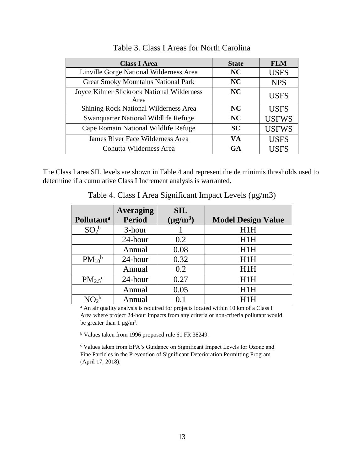<span id="page-17-0"></span>

| <b>Class I Area</b>                                | <b>State</b> | <b>FLM</b>   |
|----------------------------------------------------|--------------|--------------|
| Linville Gorge National Wilderness Area            | <b>NC</b>    | <b>USFS</b>  |
| <b>Great Smoky Mountains National Park</b>         | <b>NC</b>    | <b>NPS</b>   |
| Joyce Kilmer Slickrock National Wilderness<br>Area | <b>NC</b>    | <b>USFS</b>  |
| Shining Rock National Wilderness Area              | <b>NC</b>    | <b>USFS</b>  |
| Swanquarter National Wildlife Refuge               | NC           | <b>USFWS</b> |
| Cape Romain National Wildlife Refuge               | <b>SC</b>    | <b>USFWS</b> |
| James River Face Wilderness Area                   | VA           | <b>USFS</b>  |
| Cohutta Wilderness Area                            | <b>GA</b>    | <b>USFS</b>  |

Table 3. Class I Areas for North Carolina

<span id="page-17-1"></span>The Class I area SIL levels are shown in Table 4 and represent the de minimis thresholds used to determine if a cumulative Class I Increment analysis is warranted.

|                               | <b>Averaging</b> | <b>SIL</b>    |                           |
|-------------------------------|------------------|---------------|---------------------------|
| <b>Pollutant</b> <sup>a</sup> | <b>Period</b>    | $(\mu g/m^3)$ | <b>Model Design Value</b> |
| $SO_2^b$                      | 3-hour           |               | H1H                       |
|                               | 24-hour          | 0.2           | H1H                       |
|                               | Annual           | 0.08          | H1H                       |
| $PM_{10}$ <sup>b</sup>        | 24-hour          | 0.32          | H1H                       |
|                               | Annual           | 0.2           | H1H                       |
| $PM_{2.5}$ <sup>c</sup>       | 24-hour          | 0.27          | H1H                       |
|                               | Annual           | 0.05          | H1H                       |
|                               | Annual           | 0.1           | H1H                       |

Table 4. Class I Area Significant Impact Levels ( $\mu$ g/m3)

<sup>a</sup> An air quality analysis is required for projects located within 10 km of a Class I Area where project 24-hour impacts from any criteria or non-criteria pollutant would be greater than  $1 \mu g/m^3$ .

<sup>b</sup> Values taken from 1996 proposed rule 61 FR 38249.

<sup>c</sup> Values taken from EPA's Guidance on Significant Impact Levels for Ozone and Fine Particles in the Prevention of Significant Deterioration Permitting Program (April 17, 2018).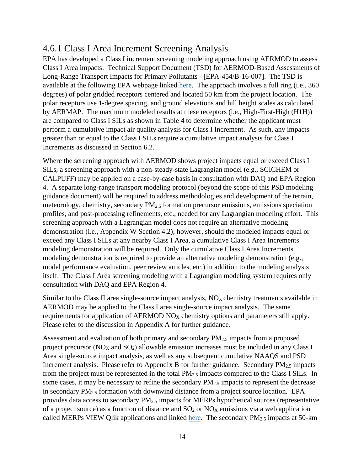#### <span id="page-18-0"></span>4.6.1 Class I Area Increment Screening Analysis

EPA has developed a Class I increment screening modeling approach using AERMOD to assess Class I Area impacts: Technical Support Document (TSD) for AERMOD-Based Assessments of Long-Range Transport Impacts for Primary Pollutants - [EPA-454/B-16-007]. The TSD is available at the following EPA webpage linked [here.](https://www3.epa.gov/ttn/scram/appendix_w-2016.htm) The approach involves a full ring (i.e., 360 degrees) of polar gridded receptors centered and located 50 km from the project location. The polar receptors use 1-degree spacing, and ground elevations and hill height scales as calculated by AERMAP. The maximum modeled results at these receptors (i.e., High-First-High (H1H)) are compared to Class I SILs as shown in Table 4 to determine whether the applicant must perform a cumulative impact air quality analysis for Class I Increment. As such, any impacts greater than or equal to the Class I SILs require a cumulative impact analysis for Class I Increments as discussed in Section 6.2.

Where the screening approach with AERMOD shows project impacts equal or exceed Class I SILs, a screening approach with a non-steady-state Lagrangian model (e.g., SCICHEM or CALPUFF) may be applied on a case-by-case basis in consultation with DAQ and EPA Region 4. A separate long-range transport modeling protocol (beyond the scope of this PSD modeling guidance document) will be required to address methodologies and development of the terrain, meteorology, chemistry, secondary PM2.5 formation precursor emissions, emissions speciation profiles, and post-processing refinements, etc., needed for any Lagrangian modeling effort. This screening approach with a Lagrangian model does not require an alternative modeling demonstration (i.e., Appendix W Section 4.2); however, should the modeled impacts equal or exceed any Class I SILs at any nearby Class I Area, a cumulative Class I Area Increments modeling demonstration will be required. Only the cumulative Class I Area Increments modeling demonstration is required to provide an alternative modeling demonstration (e.g., model performance evaluation, peer review articles, etc.) in addition to the modeling analysis itself. The Class I Area screening modeling with a Lagrangian modeling system requires only consultation with DAQ and EPA Region 4.

Similar to the Class II area single-source impact analysis,  $NO<sub>X</sub>$  chemistry treatments available in AERMOD may be applied to the Class I area single-source impact analysis. The same requirements for application of AERMOD  $NO<sub>X</sub>$  chemistry options and parameters still apply. Please refer to the discussion in Appendix A for further guidance.

Assessment and evaluation of both primary and secondary PM2.5 impacts from a proposed project precursor ( $NO<sub>X</sub>$  and  $SO<sub>2</sub>$ ) allowable emission increases must be included in any Class I Area single-source impact analysis, as well as any subsequent cumulative NAAQS and PSD Increment analysis. Please refer to Appendix B for further guidance. Secondary  $PM_{2.5}$  impacts from the project must be represented in the total  $PM_{2.5}$  impacts compared to the Class I SILs. In some cases, it may be necessary to refine the secondary  $PM_{2.5}$  impacts to represent the decrease in secondary  $PM_{2.5}$  formation with downwind distance from a project source location. EPA provides data access to secondary PM2.5 impacts for MERPs hypothetical sources (representative of a project source) as a function of distance and  $SO_2$  or  $NO<sub>X</sub>$  emissions via a web application called MERPs VIEW Qlik applications and linked [here.](https://www.epa.gov/scram/merps-view-qlik) The secondary  $PM_{2.5}$  impacts at 50-km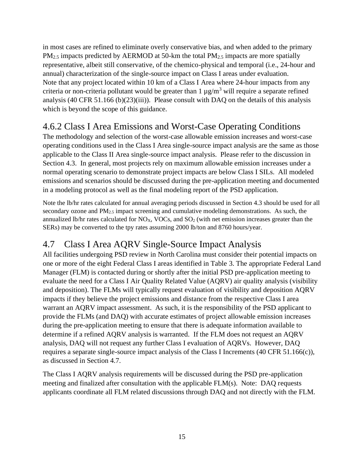in most cases are refined to eliminate overly conservative bias, and when added to the primary  $PM_{2.5}$  impacts predicted by AERMOD at 50-km the total  $PM_{2.5}$  impacts are more spatially representative, albeit still conservative, of the chemico-physical and temporal (i.e., 24-hour and annual) characterization of the single-source impact on Class I areas under evaluation. Note that any project located within 10 km of a Class I Area where 24-hour impacts from any criteria or non-criteria pollutant would be greater than  $1 \mu g/m^3$  will require a separate refined analysis (40 CFR 51.166 (b)(23)(iii)). Please consult with DAQ on the details of this analysis which is beyond the scope of this guidance.

## <span id="page-19-0"></span>4.6.2 Class I Area Emissions and Worst-Case Operating Conditions

The methodology and selection of the worst-case allowable emission increases and worst-case operating conditions used in the Class I Area single-source impact analysis are the same as those applicable to the Class II Area single-source impact analysis. Please refer to the discussion in Section 4.3. In general, most projects rely on maximum allowable emission increases under a normal operating scenario to demonstrate project impacts are below Class I SILs. All modeled emissions and scenarios should be discussed during the pre-application meeting and documented in a modeling protocol as well as the final modeling report of the PSD application.

Note the lb/hr rates calculated for annual averaging periods discussed in Section 4.3 should be used for all secondary ozone and  $PM_{2.5}$  impact screening and cumulative modeling demonstrations. As such, the annualized lb/hr rates calculated for  $NO<sub>X</sub>$ , VOCs, and  $SO<sub>2</sub>$  (with net emission increases greater than the SERs) may be converted to the tpy rates assuming 2000 lb/ton and 8760 hours/year.

## <span id="page-19-1"></span>4.7 Class I Area AQRV Single-Source Impact Analysis

All facilities undergoing PSD review in North Carolina must consider their potential impacts on one or more of the eight Federal Class I areas identified in Table 3. The appropriate Federal Land Manager (FLM) is contacted during or shortly after the initial PSD pre-application meeting to evaluate the need for a Class I Air Quality Related Value (AQRV) air quality analysis (visibility and deposition). The FLMs will typically request evaluation of visibility and deposition AQRV impacts if they believe the project emissions and distance from the respective Class I area warrant an AQRV impact assessment. As such, it is the responsibility of the PSD applicant to provide the FLMs (and DAQ) with accurate estimates of project allowable emission increases during the pre-application meeting to ensure that there is adequate information available to determine if a refined AQRV analysis is warranted. If the FLM does not request an AQRV analysis, DAQ will not request any further Class I evaluation of AQRVs. However, DAQ requires a separate single-source impact analysis of the Class I Increments (40 CFR 51.166(c)), as discussed in Section 4.7.

The Class I AQRV analysis requirements will be discussed during the PSD pre-application meeting and finalized after consultation with the applicable FLM(s). Note: DAQ requests applicants coordinate all FLM related discussions through DAQ and not directly with the FLM.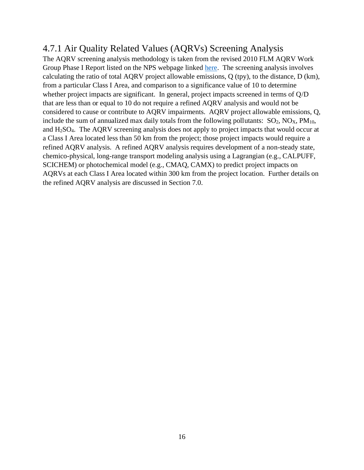#### <span id="page-20-0"></span>4.7.1 Air Quality Related Values (AQRVs) Screening Analysis

The AQRV screening analysis methodology is taken from the revised 2010 FLM AQRV Work Group Phase I Report listed on the NPS webpage linked [here.](https://www.nps.gov/subjects/air/permitresources.htm) The screening analysis involves calculating the ratio of total AQRV project allowable emissions, Q (tpy), to the distance, D (km), from a particular Class I Area, and comparison to a significance value of 10 to determine whether project impacts are significant. In general, project impacts screened in terms of Q/D that are less than or equal to 10 do not require a refined AQRV analysis and would not be considered to cause or contribute to AQRV impairments. AQRV project allowable emissions, Q, include the sum of annualized max daily totals from the following pollutants:  $SO_2$ ,  $NO<sub>X</sub>$ ,  $PM<sub>10</sub>$ , and H2SO4. The AQRV screening analysis does not apply to project impacts that would occur at a Class I Area located less than 50 km from the project; those project impacts would require a refined AQRV analysis. A refined AQRV analysis requires development of a non-steady state, chemico-physical, long-range transport modeling analysis using a Lagrangian (e.g., CALPUFF, SCICHEM) or photochemical model (e.g., CMAQ, CAMX) to predict project impacts on AQRVs at each Class I Area located within 300 km from the project location. Further details on the refined AQRV analysis are discussed in Section 7.0.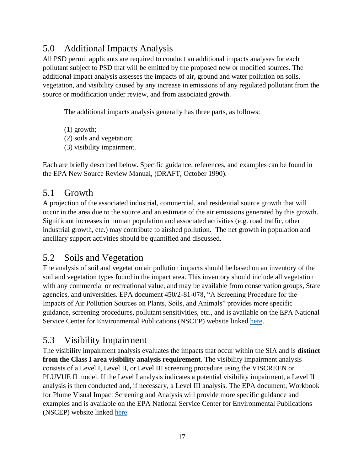## <span id="page-21-0"></span>5.0 Additional Impacts Analysis

All PSD permit applicants are required to conduct an additional impacts analyses for each pollutant subject to PSD that will be emitted by the proposed new or modified sources. The additional impact analysis assesses the impacts of air, ground and water pollution on soils, vegetation, and visibility caused by any increase in emissions of any regulated pollutant from the source or modification under review, and from associated growth.

The additional impacts analysis generally has three parts, as follows:

(1) growth; (2) soils and vegetation; (3) visibility impairment.

Each are briefly described below. Specific guidance, references, and examples can be found in the EPA New Source Review Manual, (DRAFT, October 1990).

#### <span id="page-21-1"></span>5.1 Growth

A projection of the associated industrial, commercial, and residential source growth that will occur in the area due to the source and an estimate of the air emissions generated by this growth. Significant increases in human population and associated activities (e.g. road traffic, other industrial growth, etc.) may contribute to airshed pollution. The net growth in population and ancillary support activities should be quantified and discussed.

#### <span id="page-21-2"></span>5.2 Soils and Vegetation

The analysis of soil and vegetation air pollution impacts should be based on an inventory of the soil and vegetation types found in the impact area. This inventory should include all vegetation with any commercial or recreational value, and may be available from conservation groups, State agencies, and universities. EPA document 450/2-81-078, "A Screening Procedure for the Impacts of Air Pollution Sources on Plants, Soils, and Animals" provides more specific guidance, screening procedures, pollutant sensitivities, etc., and is available on the EPA National Service Center for Environmental Publications (NSCEP) website linked [here.](https://nepis.epa.gov/Exe/ZyPURL.cgi?Dockey=9100ZHNW.TXT)

#### <span id="page-21-3"></span>5.3 Visibility Impairment

The visibility impairment analysis evaluates the impacts that occur within the SIA and is **distinct from the Class I area visibility analysis requirement**. The visibility impairment analysis consists of a Level I, Level II, or Level III screening procedure using the VISCREEN or PLUVUE II model. If the Level I analysis indicates a potential visibility impairment, a Level II analysis is then conducted and, if necessary, a Level III analysis. The EPA document, Workbook for Plume Visual Impact Screening and Analysis will provide more specific guidance and examples and is available on the EPA National Service Center for Environmental Publications (NSCEP) website linked [here.](https://nepis.epa.gov/Exe/ZyPURL.cgi?Dockey=2000J3KP.TXT)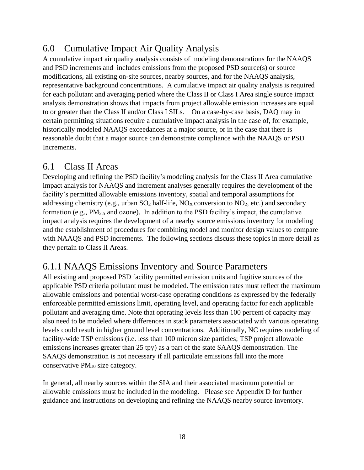### <span id="page-22-0"></span>6.0 Cumulative Impact Air Quality Analysis

A cumulative impact air quality analysis consists of modeling demonstrations for the NAAQS and PSD increments and includes emissions from the proposed PSD source(s) or source modifications, all existing on-site sources, nearby sources, and for the NAAQS analysis, representative background concentrations. A cumulative impact air quality analysis is required for each pollutant and averaging period where the Class II or Class I Area single source impact analysis demonstration shows that impacts from project allowable emission increases are equal to or greater than the Class II and/or Class I SILs. On a case-by-case basis, DAQ may in certain permitting situations require a cumulative impact analysis in the case of, for example, historically modeled NAAQS exceedances at a major source, or in the case that there is reasonable doubt that a major source can demonstrate compliance with the NAAQS or PSD Increments.

#### <span id="page-22-1"></span>6.1 Class II Areas

Developing and refining the PSD facility's modeling analysis for the Class II Area cumulative impact analysis for NAAQS and increment analyses generally requires the development of the facility's permitted allowable emissions inventory, spatial and temporal assumptions for addressing chemistry (e.g., urban  $SO_2$  half-life,  $NO<sub>X</sub>$  conversion to  $NO<sub>2</sub>$ , etc.) and secondary formation (e.g.,  $PM_{2.5}$  and ozone). In addition to the PSD facility's impact, the cumulative impact analysis requires the development of a nearby source emissions inventory for modeling and the establishment of procedures for combining model and monitor design values to compare with NAAQS and PSD increments. The following sections discuss these topics in more detail as they pertain to Class II Areas.

#### <span id="page-22-2"></span>6.1.1 NAAQS Emissions Inventory and Source Parameters

All existing and proposed PSD facility permitted emission units and fugitive sources of the applicable PSD criteria pollutant must be modeled. The emission rates must reflect the maximum allowable emissions and potential worst-case operating conditions as expressed by the federally enforceable permitted emissions limit, operating level, and operating factor for each applicable pollutant and averaging time. Note that operating levels less than 100 percent of capacity may also need to be modeled where differences in stack parameters associated with various operating levels could result in higher ground level concentrations. Additionally, NC requires modeling of facility-wide TSP emissions (i.e. less than 100 micron size particles; TSP project allowable emissions increases greater than 25 tpy) as a part of the state SAAQS demonstration. The SAAQS demonstration is not necessary if all particulate emissions fall into the more conservative PM<sup>10</sup> size category.

In general, all nearby sources within the SIA and their associated maximum potential or allowable emissions must be included in the modeling. Please see Appendix D for further guidance and instructions on developing and refining the NAAQS nearby source inventory.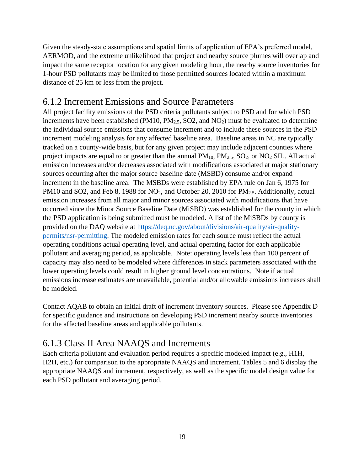Given the steady-state assumptions and spatial limits of application of EPA's preferred model, AERMOD, and the extreme unlikelihood that project and nearby source plumes will overlap and impact the same receptor location for any given modeling hour, the nearby source inventories for 1-hour PSD pollutants may be limited to those permitted sources located within a maximum distance of 25 km or less from the project.

#### <span id="page-23-0"></span>6.1.2 Increment Emissions and Source Parameters

All project facility emissions of the PSD criteria pollutants subject to PSD and for which PSD increments have been established (PM10,  $PM_{2.5}$ , SO2, and NO<sub>2</sub>) must be evaluated to determine the individual source emissions that consume increment and to include these sources in the PSD increment modeling analysis for any affected baseline area. Baseline areas in NC are typically tracked on a county-wide basis, but for any given project may include adjacent counties where project impacts are equal to or greater than the annual  $PM_{10}$ ,  $PM_{2.5}$ ,  $SO_2$ , or  $NO_2$  SIL. All actual emission increases and/or decreases associated with modifications associated at major stationary sources occurring after the major source baseline date (MSBD) consume and/or expand increment in the baseline area. The MSBDs were established by EPA rule on Jan 6, 1975 for PM10 and SO2, and Feb 8, 1988 for NO<sub>2</sub>, and October 20, 2010 for PM<sub>2.5</sub>. Additionally, actual emission increases from all major and minor sources associated with modifications that have occurred since the Minor Source Baseline Date (MiSBD) was established for the county in which the PSD application is being submitted must be modeled. A list of the MiSBDs by county is provided on the DAQ website at [https://deq.nc.gov/about/divisions/air-quality/air-quality](https://deq.nc.gov/about/divisions/air-quality/air-quality-permits/nsr-permitting)[permits/nsr-permitting.](https://deq.nc.gov/about/divisions/air-quality/air-quality-permits/nsr-permitting) The modeled emission rates for each source must reflect the actual operating conditions actual operating level, and actual operating factor for each applicable pollutant and averaging period, as applicable. Note: operating levels less than 100 percent of capacity may also need to be modeled where differences in stack parameters associated with the lower operating levels could result in higher ground level concentrations. Note if actual emissions increase estimates are unavailable, potential and/or allowable emissions increases shall be modeled.

Contact AQAB to obtain an initial draft of increment inventory sources. Please see Appendix D for specific guidance and instructions on developing PSD increment nearby source inventories for the affected baseline areas and applicable pollutants.

#### <span id="page-23-1"></span>6.1.3 Class II Area NAAQS and Increments

Each criteria pollutant and evaluation period requires a specific modeled impact (e.g., H1H, H2H, etc.) for comparison to the appropriate NAAQS and increment. Tables 5 and 6 display the appropriate NAAQS and increment, respectively, as well as the specific model design value for each PSD pollutant and averaging period.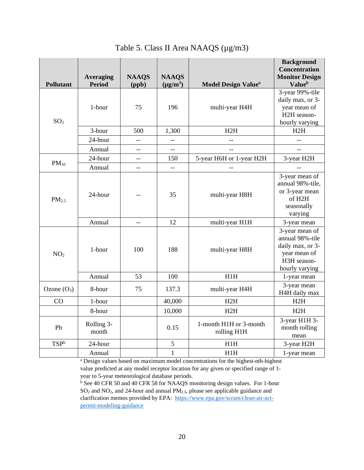<span id="page-24-0"></span>

| <b>Pollutant</b>  | <b>Averaging</b><br><b>Period</b> | <b>NAAQS</b><br>(ppb) | <b>NAAQS</b><br>$(\mu g/m^3)$ | <b>Model Design Value<sup>a</sup></b> | <b>Background</b><br>Concentration<br><b>Monitor Design</b><br><b>Value</b> <sup>b</sup>               |
|-------------------|-----------------------------------|-----------------------|-------------------------------|---------------------------------------|--------------------------------------------------------------------------------------------------------|
| SO <sub>2</sub>   | 1-hour                            | 75                    | 196                           | multi-year H4H                        | 3-year 99%-tile<br>daily max, or 3-<br>year mean of<br>H2H season-<br>hourly varying                   |
|                   | 3-hour                            | 500                   | 1,300                         | H2H                                   | H2H                                                                                                    |
|                   | 24-hour                           |                       | $ -$                          |                                       |                                                                                                        |
|                   | Annual                            | $-$                   | ш.,                           | --                                    |                                                                                                        |
| $PM_{10}$         | 24-hour                           | $-$                   | 150                           | 5-year H6H or 1-year H2H              | 3-year H2H                                                                                             |
|                   | Annual                            |                       |                               |                                       |                                                                                                        |
| PM <sub>2.5</sub> | 24-hour                           |                       | 35                            | multi-year H8H                        | 3-year mean of<br>annual 98%-tile,<br>or 3-year mean<br>of H2H<br>seasonally<br>varying                |
|                   | Annual                            | $-$                   | 12                            | multi-year H1H                        | 3-year mean                                                                                            |
| NO <sub>2</sub>   | 1-hour                            | 100                   | 188                           | multi-year H8H                        | 3-year mean of<br>annual 98%-tile<br>daily max, or 3-<br>year mean of<br>H3H season-<br>hourly varying |
|                   | Annual                            | 53                    | 100                           | H1H                                   | 1-year mean                                                                                            |
| Ozone $(O_3)$     | 8-hour                            | 75                    | 137.3                         | multi-year H4H                        | 3-year mean<br>H4H daily max                                                                           |
| CO                | 1-hour                            |                       | 40,000                        | H2H                                   | H2H                                                                                                    |
|                   | 8-hour                            |                       | 10,000                        | H2H                                   | H2H                                                                                                    |
| Pb                | Rolling 3-<br>month               |                       | 0.15                          | 1-month H1H or 3-month<br>rolling H1H | 3-year H1H 3-<br>month rolling<br>mean                                                                 |
| TSP <sup>b</sup>  | 24-hour                           |                       | $\sqrt{5}$                    | H1H                                   | 3-year H2H                                                                                             |
|                   | Annual                            |                       | $\mathbf{1}$                  | H1H                                   | 1-year mean                                                                                            |

Table 5. Class II Area NAAQS (µg/m3)

<sup>a</sup> Design values based on maximum model concentrations for the highest-nth-highest value predicted at any model receptor location for any given or specified range of 1 year to 5-year meteorological database periods.

<sup>b</sup> See 40 CFR 50 and 40 CFR 58 for NAAQS monitoring design values. For 1-hour SO<sup>2</sup> and NO2, and 24-hour and annual PM2.5, please see applicable guidance and clarification memos provided by EPA: [https://www.epa.gov/scram/clean-air-act](https://www.epa.gov/scram/clean-air-act-permit-modeling-guidance)[permit-modeling-guidance](https://www.epa.gov/scram/clean-air-act-permit-modeling-guidance)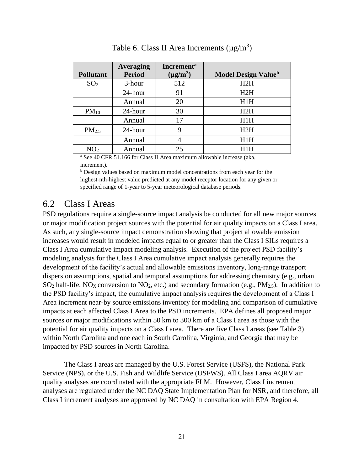<span id="page-25-1"></span>

|                   | <b>Averaging</b> | <b>Increment</b> <sup>a</sup> |                                        |
|-------------------|------------------|-------------------------------|----------------------------------------|
| <b>Pollutant</b>  | <b>Period</b>    | $(\mu g/m^3)$                 | <b>Model Design Value</b> <sup>b</sup> |
| SO <sub>2</sub>   | 3-hour           | 512                           | H2H                                    |
|                   | 24-hour          | 91                            | H2H                                    |
|                   | Annual           | 20                            | H1H                                    |
| $PM_{10}$         | 24-hour          | 30                            | H2H                                    |
|                   | Annual           | 17                            | H1H                                    |
| PM <sub>2.5</sub> | 24-hour          | 9                             | H2H                                    |
|                   | Annual           |                               | H1H                                    |
| NO <sub>2</sub>   | Annual           | 25                            | H1H                                    |

Table 6. Class II Area Increments  $(\mu g/m^3)$ 

<sup>a</sup> See 40 CFR 51.166 for Class II Area maximum allowable increase (aka, increment).

<sup>b</sup> Design values based on maximum model concentrations from each year for the highest-nth-highest value predicted at any model receptor location for any given or specified range of 1-year to 5-year meteorological database periods.

#### <span id="page-25-0"></span>6.2 Class I Areas

PSD regulations require a single-source impact analysis be conducted for all new major sources or major modification project sources with the potential for air quality impacts on a Class I area. As such, any single-source impact demonstration showing that project allowable emission increases would result in modeled impacts equal to or greater than the Class I SILs requires a Class I Area cumulative impact modeling analysis. Execution of the project PSD facility's modeling analysis for the Class I Area cumulative impact analysis generally requires the development of the facility's actual and allowable emissions inventory, long-range transport dispersion assumptions, spatial and temporal assumptions for addressing chemistry (e.g., urban  $SO_2$  half-life,  $NO<sub>X</sub>$  conversion to  $NO<sub>2</sub>$ , etc.) and secondary formation (e.g.,  $PM<sub>2.5</sub>$ ). In addition to the PSD facility's impact, the cumulative impact analysis requires the development of a Class I Area increment near-by source emissions inventory for modeling and comparison of cumulative impacts at each affected Class I Area to the PSD increments. EPA defines all proposed major sources or major modifications within 50 km to 300 km of a Class I area as those with the potential for air quality impacts on a Class I area. There are five Class I areas (see Table 3) within North Carolina and one each in South Carolina, Virginia, and Georgia that may be impacted by PSD sources in North Carolina.

The Class I areas are managed by the U.S. Forest Service (USFS), the National Park Service (NPS), or the U.S. Fish and Wildlife Service (USFWS). All Class I area AQRV air quality analyses are coordinated with the appropriate FLM. However, Class I increment analyses are regulated under the NC DAQ State Implementation Plan for NSR, and therefore, all Class I increment analyses are approved by NC DAQ in consultation with EPA Region 4.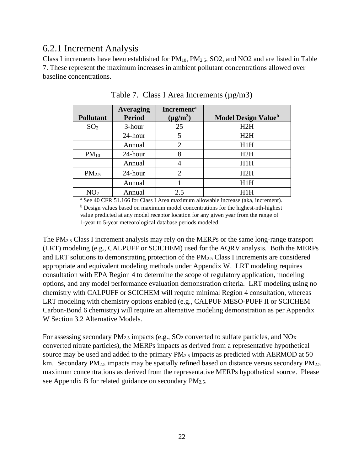#### <span id="page-26-0"></span>6.2.1 Increment Analysis

Class I increments have been established for  $PM_{10}$ ,  $PM_{2.5}$ , SO2, and NO2 and are listed in Table 7. These represent the maximum increases in ambient pollutant concentrations allowed over baseline concentrations.

<span id="page-26-1"></span>

| <b>Pollutant</b>  | Averaging<br><b>Period</b> | <b>Increment</b> <sup>a</sup><br>$(\mu g/m^3)$ | <b>Model Design Value</b> <sup>b</sup> |
|-------------------|----------------------------|------------------------------------------------|----------------------------------------|
| SO <sub>2</sub>   | 3-hour                     | 25                                             | H2H                                    |
|                   | 24-hour                    | 5                                              | H2H                                    |
|                   | Annual                     | 2                                              | H1H                                    |
| $PM_{10}$         | 24-hour                    | 8                                              | H2H                                    |
|                   | Annual                     | 4                                              | H1H                                    |
| PM <sub>2.5</sub> | 24-hour                    | $\mathcal{D}_{\mathcal{L}}$                    | H2H                                    |
|                   | Annual                     |                                                | H1H                                    |
|                   | Annual                     | 2.5                                            |                                        |

Table 7. Class I Area Increments  $(\mu g/m3)$ 

<sup>a</sup> See 40 CFR 51.166 for Class I Area maximum allowable increase (aka, increment). <sup>b</sup> Design values based on maximum model concentrations for the highest-nth-highest value predicted at any model receptor location for any given year from the range of 1-year to 5-year meteorological database periods modeled.

The PM2.5 Class I increment analysis may rely on the MERPs or the same long-range transport (LRT) modeling (e.g., CALPUFF or SCICHEM) used for the AQRV analysis. Both the MERPs and LRT solutions to demonstrating protection of the PM2.5 Class I increments are considered appropriate and equivalent modeling methods under Appendix W. LRT modeling requires consultation with EPA Region 4 to determine the scope of regulatory application, modeling options, and any model performance evaluation demonstration criteria. LRT modeling using no chemistry with CALPUFF or SCICHEM will require minimal Region 4 consultation, whereas LRT modeling with chemistry options enabled (e.g., CALPUF MESO-PUFF II or SCICHEM Carbon-Bond 6 chemistry) will require an alternative modeling demonstration as per Appendix W Section 3.2 Alternative Models.

For assessing secondary  $PM_{2.5}$  impacts (e.g.,  $SO_2$  converted to sulfate particles, and  $NO_X$ ) converted nitrate particles), the MERPs impacts as derived from a representative hypothetical source may be used and added to the primary  $PM_{2.5}$  impacts as predicted with AERMOD at 50 km. Secondary PM<sub>2.5</sub> impacts may be spatially refined based on distance versus secondary PM<sub>2.5</sub> maximum concentrations as derived from the representative MERPs hypothetical source. Please see Appendix B for related guidance on secondary  $PM_{2.5}$ .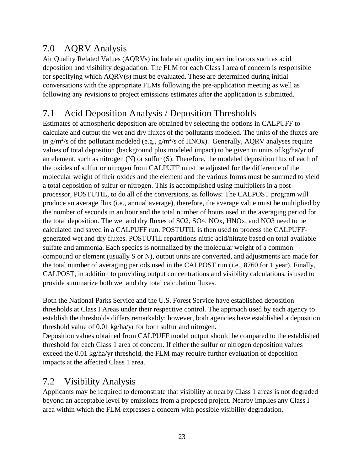#### <span id="page-27-0"></span>7.0 AQRV Analysis

Air Quality Related Values (AQRVs) include air quality impact indicators such as acid deposition and visibility degradation. The FLM for each Class I area of concern is responsible for specifying which AQRV(s) must be evaluated. These are determined during initial conversations with the appropriate FLMs following the pre-application meeting as well as following any revisions to project emissions estimates after the application is submitted.

#### <span id="page-27-1"></span>7.1 Acid Deposition Analysis / Deposition Thresholds

Estimates of atmospheric deposition are obtained by selecting the options in CALPUFF to calculate and output the wet and dry fluxes of the pollutants modeled. The units of the fluxes are in  $g/m^2$ /s of the pollutant modeled (e.g.,  $g/m^2$ /s of HNOx). Generally, AQRV analyses require values of total deposition (background plus modeled impact) to be given in units of kg/ha/yr of an element, such as nitrogen (N) or sulfur (S). Therefore, the modeled deposition flux of each of the oxides of sulfur or nitrogen from CALPUFF must be adjusted for the difference of the molecular weight of their oxides and the element and the various forms must be summed to yield a total deposition of sulfur or nitrogen. This is accomplished using multipliers in a postprocessor, POSTUTIL, to do all of the conversions, as follows: The CALPOST program will produce an average flux (i.e., annual average), therefore, the average value must be multiplied by the number of seconds in an hour and the total number of hours used in the averaging period for the total deposition. The wet and dry fluxes of SO2, SO4, NOx, HNOx, and NO3 need to be calculated and saved in a CALPUFF run. POSTUTIL is then used to process the CALPUFFgenerated wet and dry fluxes. POSTUTIL repartitions nitric acid/nitrate based on total available sulfate and ammonia. Each species is normalized by the molecular weight of a common compound or element (usually S or N), output units are converted, and adjustments are made for the total number of averaging periods used in the CALPOST run (i.e., 8760 for 1 year). Finally, CALPOST, in addition to providing output concentrations and visibility calculations, is used to provide summarize both wet and dry total calculation fluxes.

Both the National Parks Service and the U.S. Forest Service have established deposition thresholds at Class I Areas under their respective control. The approach used by each agency to establish the thresholds differs remarkably; however, both agencies have established a deposition threshold value of 0.01 kg/ha/yr for both sulfur and nitrogen.

Deposition values obtained from CALPUFF model output should be compared to the established threshold for each Class 1 area of concern. If either the sulfur or nitrogen deposition values exceed the 0.01 kg/ha/yr threshold, the FLM may require further evaluation of deposition impacts at the affected Class 1 area.

#### <span id="page-27-2"></span>7.2 Visibility Analysis

Applicants may be required to demonstrate that visibility at nearby Class 1 areas is not degraded beyond an acceptable level by emissions from a proposed project. Nearby implies any Class I area within which the FLM expresses a concern with possible visibility degradation.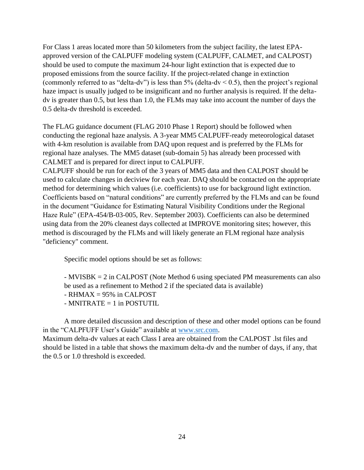For Class 1 areas located more than 50 kilometers from the subject facility, the latest EPAapproved version of the CALPUFF modeling system (CALPUFF, CALMET, and CALPOST) should be used to compute the maximum 24-hour light extinction that is expected due to proposed emissions from the source facility. If the project-related change in extinction (commonly referred to as "delta-dv") is less than 5% (delta-dv  $\leq$  0.5), then the project's regional haze impact is usually judged to be insignificant and no further analysis is required. If the deltadv is greater than 0.5, but less than 1.0, the FLMs may take into account the number of days the 0.5 delta-dv threshold is exceeded.

The FLAG guidance document (FLAG 2010 Phase 1 Report) should be followed when conducting the regional haze analysis. A 3-year MM5 CALPUFF-ready meteorological dataset with 4-km resolution is available from DAQ upon request and is preferred by the FLMs for regional haze analyses. The MM5 dataset (sub-domain 5) has already been processed with CALMET and is prepared for direct input to CALPUFF.

CALPUFF should be run for each of the 3 years of MM5 data and then CALPOST should be used to calculate changes in deciview for each year. DAQ should be contacted on the appropriate method for determining which values (i.e. coefficients) to use for background light extinction. Coefficients based on "natural conditions" are currently preferred by the FLMs and can be found in the document "Guidance for Estimating Natural Visibility Conditions under the Regional Haze Rule" (EPA-454/B-03-005, Rev. September 2003). Coefficients can also be determined using data from the 20% cleanest days collected at IMPROVE monitoring sites; however, this method is discouraged by the FLMs and will likely generate an FLM regional haze analysis "deficiency" comment.

Specific model options should be set as follows:

- MVISBK = 2 in CALPOST (Note Method 6 using speciated PM measurements can also be used as a refinement to Method 2 if the speciated data is available)

- $-$  RHMAX  $= 95\%$  in CALPOST
- $-MNITRATE = 1$  in POSTUTIL

A more detailed discussion and description of these and other model options can be found in the "CALPFUFF User's Guide" available at [www.src.com.](http://www.src.com/) Maximum delta-dv values at each Class I area are obtained from the CALPOST .lst files and should be listed in a table that shows the maximum delta-dv and the number of days, if any, that the 0.5 or 1.0 threshold is exceeded.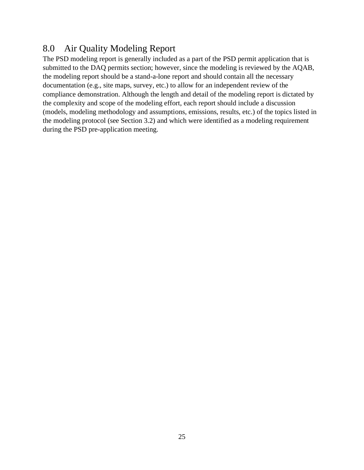#### <span id="page-29-0"></span>8.0 Air Quality Modeling Report

The PSD modeling report is generally included as a part of the PSD permit application that is submitted to the DAQ permits section; however, since the modeling is reviewed by the AQAB, the modeling report should be a stand-a-lone report and should contain all the necessary documentation (e.g., site maps, survey, etc.) to allow for an independent review of the compliance demonstration. Although the length and detail of the modeling report is dictated by the complexity and scope of the modeling effort, each report should include a discussion (models, modeling methodology and assumptions, emissions, results, etc.) of the topics listed in the modeling protocol (see Section 3.2) and which were identified as a modeling requirement during the PSD pre-application meeting.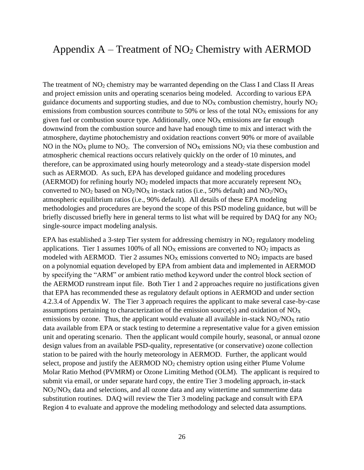#### <span id="page-30-0"></span>Appendix  $A - T$  reatment of  $NO<sub>2</sub>$  Chemistry with AERMOD

The treatment of  $NO<sub>2</sub>$  chemistry may be warranted depending on the Class I and Class II Areas and project emission units and operating scenarios being modeled. According to various EPA guidance documents and supporting studies, and due to  $NO<sub>X</sub>$  combustion chemistry, hourly  $NO<sub>2</sub>$ emissions from combustion sources contribute to 50% or less of the total  $NO<sub>X</sub>$  emissions for any given fuel or combustion source type. Additionally, once  $NO<sub>X</sub>$  emissions are far enough downwind from the combustion source and have had enough time to mix and interact with the atmosphere, daytime photochemistry and oxidation reactions convert 90% or more of available NO in the NO<sub>X</sub> plume to NO<sub>2</sub>. The conversion of NO<sub>X</sub> emissions NO<sub>2</sub> via these combustion and atmospheric chemical reactions occurs relatively quickly on the order of 10 minutes, and therefore, can be approximated using hourly meteorology and a steady-state dispersion model such as AERMOD. As such, EPA has developed guidance and modeling procedures (AERMOD) for refining hourly  $NO<sub>2</sub>$  modeled impacts that more accurately represent  $NO<sub>X</sub>$ converted to  $NO_2$  based on  $NO_2/NO_X$  in-stack ratios (i.e., 50% default) and  $NO_2/NO_X$ atmospheric equilibrium ratios (i.e., 90% default). All details of these EPA modeling methodologies and procedures are beyond the scope of this PSD modeling guidance, but will be briefly discussed briefly here in general terms to list what will be required by DAQ for any  $NO<sub>2</sub>$ single-source impact modeling analysis.

EPA has established a 3-step Tier system for addressing chemistry in  $NO<sub>2</sub>$  regulatory modeling applications. Tier 1 assumes 100% of all  $NO<sub>X</sub>$  emissions are converted to  $NO<sub>2</sub>$  impacts as modeled with AERMOD. Tier 2 assumes  $NO<sub>X</sub>$  emissions converted to  $NO<sub>2</sub>$  impacts are based on a polynomial equation developed by EPA from ambient data and implemented in AERMOD by specifying the "ARM" or ambient ratio method keyword under the control block section of the AERMOD runstream input file. Both Tier 1 and 2 approaches require no justifications given that EPA has recommended these as regulatory default options in AERMOD and under section 4.2.3.4 of Appendix W. The Tier 3 approach requires the applicant to make several case-by-case assumptions pertaining to characterization of the emission source(s) and oxidation of NO<sup>X</sup> emissions by ozone. Thus, the applicant would evaluate all available in-stack  $NO<sub>2</sub>/NO<sub>X</sub>$  ratio data available from EPA or stack testing to determine a representative value for a given emission unit and operating scenario. Then the applicant would compile hourly, seasonal, or annual ozone design values from an available PSD-quality, representative (or conservative) ozone collection station to be paired with the hourly meteorology in AERMOD. Further, the applicant would select, propose and justify the AERMOD  $NO<sub>2</sub>$  chemistry option using either Plume Volume Molar Ratio Method (PVMRM) or Ozone Limiting Method (OLM). The applicant is required to submit via email, or under separate hard copy, the entire Tier 3 modeling approach, in-stack  $NO<sub>2</sub>/NO<sub>X</sub>$  data and selections, and all ozone data and any wintertime and summertime data substitution routines. DAQ will review the Tier 3 modeling package and consult with EPA Region 4 to evaluate and approve the modeling methodology and selected data assumptions.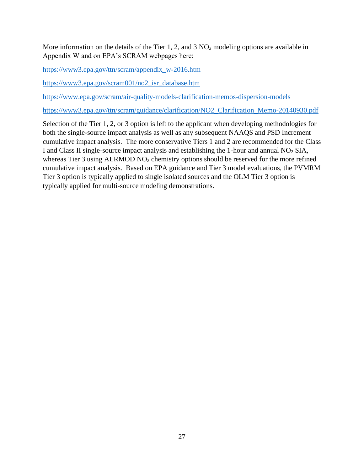More information on the details of the Tier 1, 2, and  $3 \text{ NO}_2$  modeling options are available in Appendix W and on EPA's SCRAM webpages here:

[https://www3.epa.gov/ttn/scram/appendix\\_w-2016.htm](https://www3.epa.gov/ttn/scram/appendix_w-2016.htm)

[https://www3.epa.gov/scram001/no2\\_isr\\_database.htm](https://www3.epa.gov/scram001/no2_isr_database.htm)

<https://www.epa.gov/scram/air-quality-models-clarification-memos-dispersion-models>

[https://www3.epa.gov/ttn/scram/guidance/clarification/NO2\\_Clarification\\_Memo-20140930.pdf](https://www3.epa.gov/ttn/scram/guidance/clarification/NO2_Clarification_Memo-20140930.pdf)

Selection of the Tier 1, 2, or 3 option is left to the applicant when developing methodologies for both the single-source impact analysis as well as any subsequent NAAQS and PSD Increment cumulative impact analysis. The more conservative Tiers 1 and 2 are recommended for the Class I and Class II single-source impact analysis and establishing the 1-hour and annual NO<sup>2</sup> SIA, whereas Tier 3 using AERMOD  $NO<sub>2</sub>$  chemistry options should be reserved for the more refined cumulative impact analysis. Based on EPA guidance and Tier 3 model evaluations, the PVMRM Tier 3 option is typically applied to single isolated sources and the OLM Tier 3 option is typically applied for multi-source modeling demonstrations.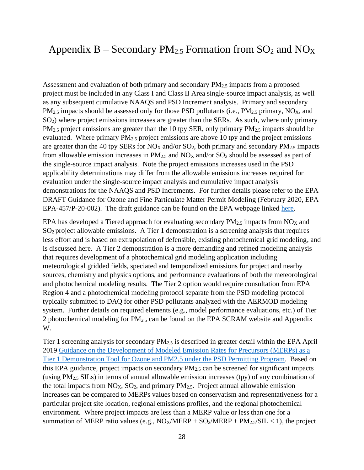#### <span id="page-32-0"></span>Appendix B – Secondary  $PM_{2.5}$  Formation from  $SO_2$  and  $NO_X$

Assessment and evaluation of both primary and secondary PM2.5 impacts from a proposed project must be included in any Class I and Class II Area single-source impact analysis, as well as any subsequent cumulative NAAQS and PSD Increment analysis. Primary and secondary  $PM_{2.5}$  impacts should be assessed only for those PSD pollutants (i.e.,  $PM_{2.5}$  primary, NO<sub>X</sub>, and SO<sub>2</sub>) where project emissions increases are greater than the SERs. As such, where only primary  $PM_{2.5}$  project emissions are greater than the 10 tpy SER, only primary  $PM_{2.5}$  impacts should be evaluated. Where primary  $PM_{2.5}$  project emissions are above 10 tpy and the project emissions are greater than the 40 tpy SERs for  $NO<sub>X</sub>$  and/or  $SO<sub>2</sub>$ , both primary and secondary  $PM<sub>2.5</sub>$  impacts from allowable emission increases in  $PM_{2.5}$  and  $NO_X$  and/or  $SO_2$  should be assessed as part of the single-source impact analysis. Note the project emissions increases used in the PSD applicability determinations may differ from the allowable emissions increases required for evaluation under the single-source impact analysis and cumulative impact analysis demonstrations for the NAAQS and PSD Increments. For further details please refer to the EPA DRAFT Guidance for Ozone and Fine Particulate Matter Permit Modeling (February 2020, EPA EPA-457/P-20-002). The draft guidance can be found on the EPA webpage linked [here.](https://www.epa.gov/scram/clean-air-act-permit-modeling-guidance)

EPA has developed a Tiered approach for evaluating secondary  $PM_{2.5}$  impacts from NO<sub>X</sub> and SO<sup>2</sup> project allowable emissions. A Tier 1 demonstration is a screening analysis that requires less effort and is based on extrapolation of defensible, existing photochemical grid modeling, and is discussed here. A Tier 2 demonstration is a more demanding and refined modeling analysis that requires development of a photochemical grid modeling application including meteorological gridded fields, speciated and temporalized emissions for project and nearby sources, chemistry and physics options, and performance evaluations of both the meteorological and photochemical modeling results. The Tier 2 option would require consultation from EPA Region 4 and a photochemical modeling protocol separate from the PSD modeling protocol typically submitted to DAQ for other PSD pollutants analyzed with the AERMOD modeling system. Further details on required elements (e.g., model performance evaluations, etc.) of Tier 2 photochemical modeling for PM2.5 can be found on the EPA SCRAM website and Appendix W.

Tier 1 screening analysis for secondary PM2.5 is described in greater detail within the EPA April 2019 [Guidance on the Development of Modeled Emission Rates for Precursors \(MERPs\) as a](https://www3.epa.gov/ttn/scram/guidance/guide/EPA-454_R-19-003.pdf)  Tier 1 Demonstration Tool for [Ozone and PM2.5 under the PSD Permitting Program.](https://www3.epa.gov/ttn/scram/guidance/guide/EPA-454_R-19-003.pdf) Based on this EPA guidance, project impacts on secondary  $PM<sub>2.5</sub>$  can be screened for significant impacts (using  $PM_{2.5}$  SILs) in terms of annual allowable emission increases (tpy) of any combination of the total impacts from  $NO<sub>X</sub>$ ,  $SO<sub>2</sub>$ , and primary  $PM<sub>2.5</sub>$ . Project annual allowable emission increases can be compared to MERPs values based on conservatism and representativeness for a particular project site location, regional emissions profiles, and the regional photochemical environment. Where project impacts are less than a MERP value or less than one for a summation of MERP ratio values (e.g.,  $NO_X/MERP + SO_2/MERP + PM_{2.5}/SIL < 1$ ), the project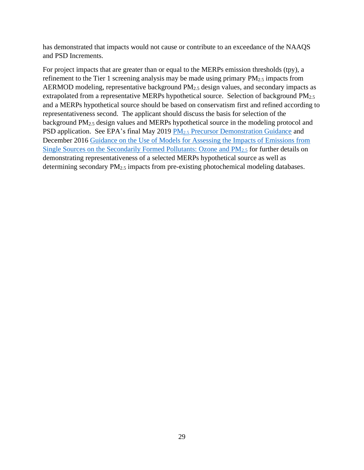has demonstrated that impacts would not cause or contribute to an exceedance of the NAAQS and PSD Increments.

For project impacts that are greater than or equal to the MERPs emission thresholds (tpy), a refinement to the Tier 1 screening analysis may be made using primary  $PM_{2.5}$  impacts from AERMOD modeling, representative background  $PM<sub>2.5</sub>$  design values, and secondary impacts as extrapolated from a representative MERPs hypothetical source. Selection of background PM<sub>2.5</sub> and a MERPs hypothetical source should be based on conservatism first and refined according to representativeness second. The applicant should discuss the basis for selection of the background PM2.5 design values and MERPs hypothetical source in the modeling protocol and PSD application. See EPA's final May 2019 PM<sub>2.5</sub> [Precursor Demonstration Guidance](https://www.epa.gov/sites/production/files/2019-05/documents/transmittal_memo_and_pm25_precursor_demo_guidance_5_30_19.pdf) and December 2016 [Guidance on the Use of Models for Assessing the Impacts of Emissions from](https://www3.epa.gov/ttn/scram/appendix_w/2016/EPA-454_R-16-005.pdf)  [Single Sources on the Secondarily Formed Pollutants: Ozone and PM](https://www3.epa.gov/ttn/scram/appendix_w/2016/EPA-454_R-16-005.pdf)2.5 for further details on demonstrating representativeness of a selected MERPs hypothetical source as well as determining secondary PM2.5 impacts from pre-existing photochemical modeling databases.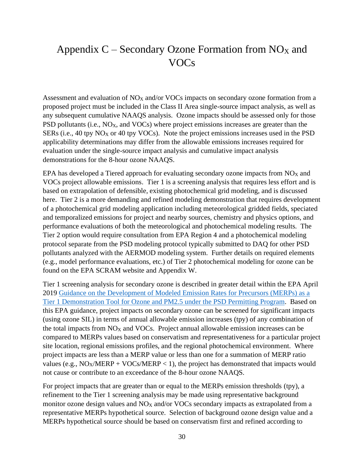## <span id="page-34-0"></span>Appendix  $C$  – Secondary Ozone Formation from NO<sub>X</sub> and VOCs

Assessment and evaluation of  $NO<sub>X</sub>$  and/or VOCs impacts on secondary ozone formation from a proposed project must be included in the Class II Area single-source impact analysis, as well as any subsequent cumulative NAAQS analysis. Ozone impacts should be assessed only for those PSD pollutants (i.e.,  $NO<sub>X</sub>$ , and  $VOCs$ ) where project emissions increases are greater than the SERs (i.e., 40 tpy  $NO<sub>X</sub>$  or 40 tpy VOCs). Note the project emissions increases used in the PSD applicability determinations may differ from the allowable emissions increases required for evaluation under the single-source impact analysis and cumulative impact analysis demonstrations for the 8-hour ozone NAAQS.

EPA has developed a Tiered approach for evaluating secondary ozone impacts from  $NO<sub>X</sub>$  and VOCs project allowable emissions. Tier 1 is a screening analysis that requires less effort and is based on extrapolation of defensible, existing photochemical grid modeling, and is discussed here. Tier 2 is a more demanding and refined modeling demonstration that requires development of a photochemical grid modeling application including meteorological gridded fields, speciated and temporalized emissions for project and nearby sources, chemistry and physics options, and performance evaluations of both the meteorological and photochemical modeling results. The Tier 2 option would require consultation from EPA Region 4 and a photochemical modeling protocol separate from the PSD modeling protocol typically submitted to DAQ for other PSD pollutants analyzed with the AERMOD modeling system. Further details on required elements (e.g., model performance evaluations, etc.) of Tier 2 photochemical modeling for ozone can be found on the EPA SCRAM website and Appendix W.

Tier 1 screening analysis for secondary ozone is described in greater detail within the EPA April 2019 [Guidance on the Development of Modeled Emission Rates for Precursors \(MERPs\) as a](https://www3.epa.gov/ttn/scram/guidance/guide/EPA-454_R-19-003.pdf)  [Tier 1 Demonstration Tool for Ozone and PM2.5 under the PSD Permitting Program.](https://www3.epa.gov/ttn/scram/guidance/guide/EPA-454_R-19-003.pdf) Based on this EPA guidance, project impacts on secondary ozone can be screened for significant impacts (using ozone SIL) in terms of annual allowable emission increases (tpy) of any combination of the total impacts from  $NO<sub>X</sub>$  and  $VO<sub>S</sub>$ . Project annual allowable emission increases can be compared to MERPs values based on conservatism and representativeness for a particular project site location, regional emissions profiles, and the regional photochemical environment. Where project impacts are less than a MERP value or less than one for a summation of MERP ratio values (e.g.,  $NO_X/MERP + VOC_S/MERP < 1$ ), the project has demonstrated that impacts would not cause or contribute to an exceedance of the 8-hour ozone NAAQS.

For project impacts that are greater than or equal to the MERPs emission thresholds (tpy), a refinement to the Tier 1 screening analysis may be made using representative background monitor ozone design values and  $NO<sub>X</sub>$  and/or VOCs secondary impacts as extrapolated from a representative MERPs hypothetical source. Selection of background ozone design value and a MERPs hypothetical source should be based on conservatism first and refined according to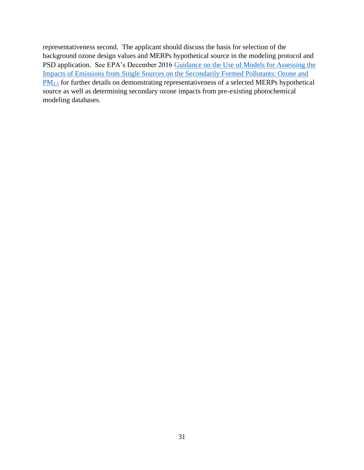representativeness second. The applicant should discuss the basis for selection of the background ozone design values and MERPs hypothetical source in the modeling protocol and PSD application. See EPA's December 2016 Guidance on the Use of Models for Assessing the [Impacts of Emissions from Single Sources on the Secondarily Formed Pollutants: Ozone and](https://www3.epa.gov/ttn/scram/appendix_w/2016/EPA-454_R-16-005.pdf)  [PM](https://www3.epa.gov/ttn/scram/appendix_w/2016/EPA-454_R-16-005.pdf)<sub>2.5</sub> for further details on demonstrating representativeness of a selected MERPs hypothetical source as well as determining secondary ozone impacts from pre-existing photochemical modeling databases.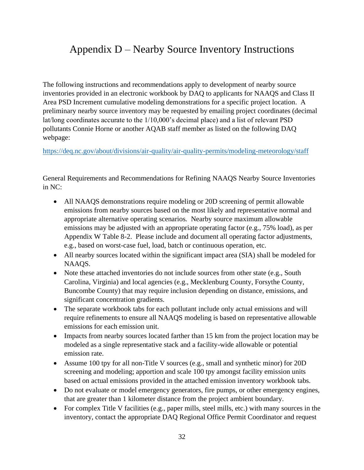# <span id="page-36-0"></span>Appendix D – Nearby Source Inventory Instructions

The following instructions and recommendations apply to development of nearby source inventories provided in an electronic workbook by DAQ to applicants for NAAQS and Class II Area PSD Increment cumulative modeling demonstrations for a specific project location. A preliminary nearby source inventory may be requested by emailing project coordinates (decimal lat/long coordinates accurate to the 1/10,000's decimal place) and a list of relevant PSD pollutants Connie Horne or another AQAB staff member as listed on the following DAQ webpage:

<https://deq.nc.gov/about/divisions/air-quality/air-quality-permits/modeling-meteorology/staff>

General Requirements and Recommendations for Refining NAAQS Nearby Source Inventories in NC:

- All NAAQS demonstrations require modeling or 20D screening of permit allowable emissions from nearby sources based on the most likely and representative normal and appropriate alternative operating scenarios. Nearby source maximum allowable emissions may be adjusted with an appropriate operating factor (e.g., 75% load), as per Appendix W Table 8-2. Please include and document all operating factor adjustments, e.g., based on worst-case fuel, load, batch or continuous operation, etc.
- All nearby sources located within the significant impact area (SIA) shall be modeled for NAAQS.
- Note these attached inventories do not include sources from other state (e.g., South Carolina, Virginia) and local agencies (e.g., Mecklenburg County, Forsythe County, Buncombe County) that may require inclusion depending on distance, emissions, and significant concentration gradients.
- The separate workbook tabs for each pollutant include only actual emissions and will require refinements to ensure all NAAQS modeling is based on representative allowable emissions for each emission unit.
- Impacts from nearby sources located farther than 15 km from the project location may be modeled as a single representative stack and a facility-wide allowable or potential emission rate.
- Assume 100 tpy for all non-Title V sources (e.g., small and synthetic minor) for 20D screening and modeling; apportion and scale 100 tpy amongst facility emission units based on actual emissions provided in the attached emission inventory workbook tabs.
- Do not evaluate or model emergency generators, fire pumps, or other emergency engines, that are greater than 1 kilometer distance from the project ambient boundary.
- For complex Title V facilities (e.g., paper mills, steel mills, etc.) with many sources in the inventory, contact the appropriate DAQ Regional Office Permit Coordinator and request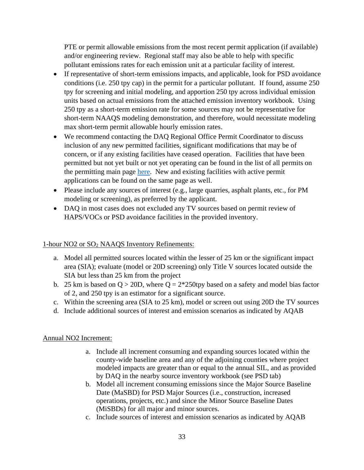PTE or permit allowable emissions from the most recent permit application (if available) and/or engineering review. Regional staff may also be able to help with specific pollutant emissions rates for each emission unit at a particular facility of interest.

- If representative of short-term emissions impacts, and applicable, look for PSD avoidance conditions (i.e. 250 tpy cap) in the permit for a particular pollutant. If found, assume 250 tpy for screening and initial modeling, and apportion 250 tpy across individual emission units based on actual emissions from the attached emission inventory workbook. Using 250 tpy as a short-term emission rate for some sources may not be representative for short-term NAAQS modeling demonstration, and therefore, would necessitate modeling max short-term permit allowable hourly emission rates.
- We recommend contacting the DAQ Regional Office Permit Coordinator to discuss inclusion of any new permitted facilities, significant modifications that may be of concern, or if any existing facilities have ceased operation. Facilities that have been permitted but not yet built or not yet operating can be found in the list of all permits on the permitting main page [here.](https://nam10.safelinks.protection.outlook.com/?url=https%3A%2F%2Flinkprotect.cudasvc.com%2Furl%3Fa%3Dhttps%253a%252f%252fdeq.nc.gov%252fabout%252fdivisions%252fair-quality%252fair-quality-permitting%26c%3DE%2C1%2Cy99_iQf6tgaVkDeeFjMWPC3afVDCrKNUoY421LMdQiMqfUrN9qK26vtdTclKseDxiRppTiz-eBxqnOH7JGS5N9Mv2UBE64KjRu4wazBlcLQ%2C%26typo%3D1&data=02%7C01%7Cjralph%40ectinc.com%7C321c05a4fcfb4d3ce24808d79ac33911%7C911eb1cc54d34d8ca5773bf3ccc8105c%7C1%7C0%7C637148036557170678&sdata=XdMgK23O3PRaoOVa8nJmRVV%2BdVbupVNmgfGJPgcmPcA%3D&reserved=0) New and existing facilities with active permit applications can be found on the same page as well.
- Please include any sources of interest (e.g., large quarries, asphalt plants, etc., for PM modeling or screening), as preferred by the applicant.
- DAQ in most cases does not excluded any TV sources based on permit review of HAPS/VOCs or PSD avoidance facilities in the provided inventory.

#### 1-hour NO2 or SO<sup>2</sup> NAAQS Inventory Refinements:

- a. Model all permitted sources located within the lesser of 25 km or the significant impact area (SIA); evaluate (model or 20D screening) only Title V sources located outside the SIA but less than 25 km from the project
- b. 25 km is based on  $Q > 20D$ , where  $Q = 2*250$ tpy based on a safety and model bias factor of 2, and 250 tpy is an estimator for a significant source.
- c. Within the screening area (SIA to 25 km), model or screen out using 20D the TV sources
- d. Include additional sources of interest and emission scenarios as indicated by AQAB

#### Annual NO2 Increment:

- a. Include all increment consuming and expanding sources located within the county-wide baseline area and any of the adjoining counties where project modeled impacts are greater than or equal to the annual SIL, and as provided by DAQ in the nearby source inventory workbook (see PSD tab)
- b. Model all increment consuming emissions since the Major Source Baseline Date (MaSBD) for PSD Major Sources (i.e., construction, increased operations, projects, etc.) and since the Minor Source Baseline Dates (MiSBDs) for all major and minor sources.
- c. Include sources of interest and emission scenarios as indicated by AQAB